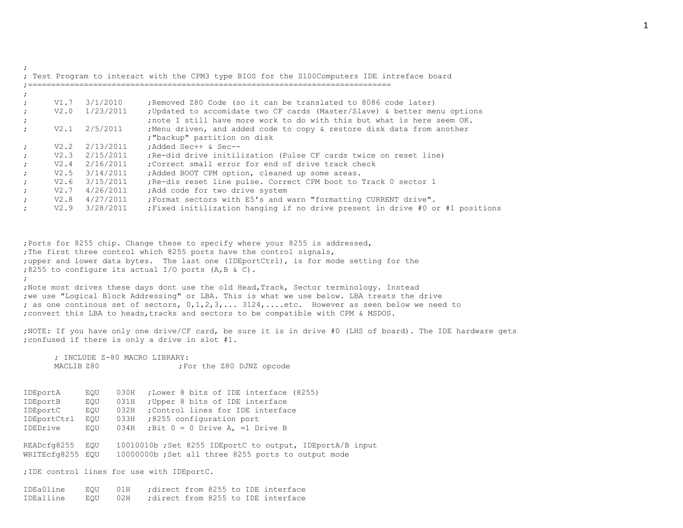| $V1.7 \t3/1/2010$<br>; Removed Z80 Code (so it can be translated to 8086 code later)<br>$V2.0 \t1/23/2011$<br>2/5/2011<br>V2.1<br>; "backup" partition on disk<br>$V2.2 \t2/13/2011$<br>:Added Sec++ & Sec--<br>$V2.3$ $2/15/2011$<br>; Re-did drive initilization (Pulse CF cards twice on reset line)<br>$V2.4$ $2/16/2011$<br>Correct small error for end of drive track check;<br>$V2.5 \t3/14/2011$<br>; Added BOOT CPM option, cleaned up some areas.<br>$V2.6$ $3/15/2011$<br>; Re-dis reset line pulse. Correct CPM boot to Track 0 sector 1<br>$V2.7$ 4/26/2011<br>; Add code for two drive system<br>$V2.8$ $4/27/2011$<br>; Format sectors with E5's and warn "formatting CURRENT drive".<br>$V2.9$ $3/28/2011$ |  | ; Updated to accomidate two CF cards (Master/Slave) & better menu options     |
|----------------------------------------------------------------------------------------------------------------------------------------------------------------------------------------------------------------------------------------------------------------------------------------------------------------------------------------------------------------------------------------------------------------------------------------------------------------------------------------------------------------------------------------------------------------------------------------------------------------------------------------------------------------------------------------------------------------------------|--|-------------------------------------------------------------------------------|
|                                                                                                                                                                                                                                                                                                                                                                                                                                                                                                                                                                                                                                                                                                                            |  | ; note I still have more work to do with this but what is here seem OK.       |
|                                                                                                                                                                                                                                                                                                                                                                                                                                                                                                                                                                                                                                                                                                                            |  | ; Menu driven, and added code to copy & restore disk data from another        |
|                                                                                                                                                                                                                                                                                                                                                                                                                                                                                                                                                                                                                                                                                                                            |  |                                                                               |
|                                                                                                                                                                                                                                                                                                                                                                                                                                                                                                                                                                                                                                                                                                                            |  |                                                                               |
|                                                                                                                                                                                                                                                                                                                                                                                                                                                                                                                                                                                                                                                                                                                            |  |                                                                               |
|                                                                                                                                                                                                                                                                                                                                                                                                                                                                                                                                                                                                                                                                                                                            |  |                                                                               |
|                                                                                                                                                                                                                                                                                                                                                                                                                                                                                                                                                                                                                                                                                                                            |  |                                                                               |
|                                                                                                                                                                                                                                                                                                                                                                                                                                                                                                                                                                                                                                                                                                                            |  |                                                                               |
|                                                                                                                                                                                                                                                                                                                                                                                                                                                                                                                                                                                                                                                                                                                            |  |                                                                               |
|                                                                                                                                                                                                                                                                                                                                                                                                                                                                                                                                                                                                                                                                                                                            |  | ; Fixed initilization hanging if no drive present in drive #0 or #1 positions |
| ; Ports for 8255 chip. Change these to specify where your 8255 is addressed,                                                                                                                                                                                                                                                                                                                                                                                                                                                                                                                                                                                                                                               |  |                                                                               |

;Note most drives these days dont use the old Head,Track, Sector terminology. Instead ;we use "Logical Block Addressing" or LBA. This is what we use below. LBA treats the drive ; as one continous set of sectors,  $0,1,2,3,...$  3124,....etc. However as seen below we need to ; convert this LBA to heads, tracks and sectors to be compatible with CPM & MSDOS.

;NOTE: If you have only one drive/CF card, be sure it is in drive #0 (LHS of board). The IDE hardware gets ;confused if there is only a drive in slot #1.

; INCLUDE Z-80 MACRO LIBRARY: MACLIB Z80  $;$  For the Z80 DJNZ opcode

;

IDEportA EQU 030H ;Lower 8 bits of IDE interface (8255) IDEportB EQU 031H ;Upper 8 bits of IDE interface IDEportC EQU 032H ;Control lines for IDE interface IDEportCtrl EQU 033H ;8255 configuration port IDEDrive EQU 034H ;Bit 0 = 0 Drive A, =1 Drive B READcfg8255 EQU 10010010b ;Set 8255 IDEportC to output, IDEportA/B input WRITEcfg8255 EQU 10000000b ;Set all three 8255 ports to output mode ;IDE control lines for use with IDEportC.

IDEa0line EQU 01H ;direct from 8255 to IDE interface

IDEa1line EQU 02H ;direct from 8255 to IDE interface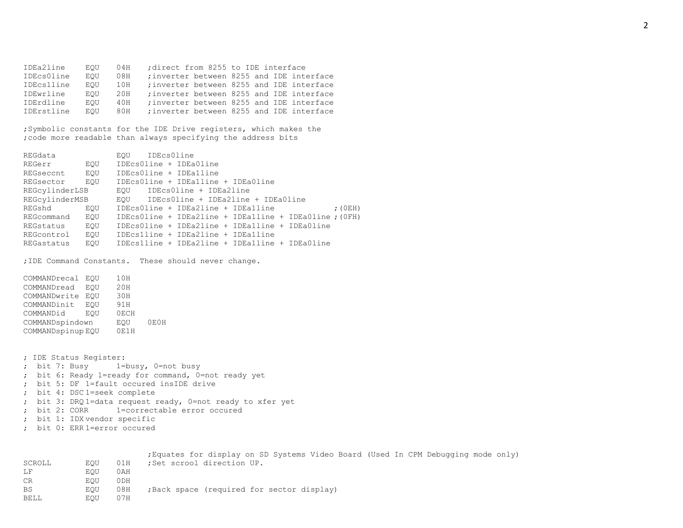IDEa2line EQU 04H ;direct from 8255 to IDE interface IDEcs0line EQU 08H ;inverter between 8255 and IDE interface IDEcs1line EQU 10H ;inverter between 8255 and IDE interface IDEwrline EQU 20H ;inverter between 8255 and IDE interface IDErdline EQU 40H ;inverter between 8255 and IDE interface IDErstline EQU 80H ;inverter between 8255 and IDE interface

;Symbolic constants for the IDE Drive registers, which makes the ;code more readable than always specifying the address bits

REGdata EQU IDEcs0line REGerr EQU IDEcs0line + IDEa0line REGseccnt EQU IDEcs0line + IDEa1line REGsector EQU IDEcs0line + IDEa1line + IDEa0line REGcylinderLSB EQU IDEcs0line + IDEa2line REGcylinderMSB EQU IDEcs0line + IDEa2line + IDEa0line REGshd EQU IDEcs0line + IDEa2line + IDEa1line ; (0EH) REGcommand EQU IDEcs0line + IDEa2line + IDEa1line + IDEa0line ;(0FH) REGstatus EQU IDEcs0line + IDEa2line + IDEa1line + IDEa0line REGcontrol EQU IDEcs1line + IDEa2line + IDEa1line REGastatus EQU IDEcs1line + IDEa2line + IDEa1line + IDEa0line ;IDE Command Constants. These should never change. COMMANDrecal EQU 10H COMMANDread EQU 20H COMMANDwrite EQU 30H COMMANDinit EQU 91H COMMANDid EQU 0ECH COMMANDspindown EQU 0E0H COMMANDspinup EQU 0E1H ; IDE Status Register: ; bit 7: Busy 1=busy, 0=not busy ; bit 6: Ready 1=ready for command, 0=not ready yet

; bit 5: DF 1=fault occured insIDE drive

- ; bit 4: DSC 1=seek complete
- ; bit 3: DRQ 1=data request ready, 0=not ready to xfer yet
- ; bit 2: CORR 1=correctable error occured
- ; bit 1: IDX vendor specific
- ; bit 0: ERR 1=error occured

|        |     |       | ; Equates for display on SD Systems Video Board (Used In CPM Debugging mode only) |
|--------|-----|-------|-----------------------------------------------------------------------------------|
| SCROLL | EOU | 01H   | ;Set scrool direction UP.                                                         |
| LF     | EOU | 0 A H |                                                                                   |
| CR     | EOU | 0 DH  |                                                                                   |
| BS     | EOU | 08H   | ; Back space (required for sector display)                                        |
| BELL   | EOU | 07H   |                                                                                   |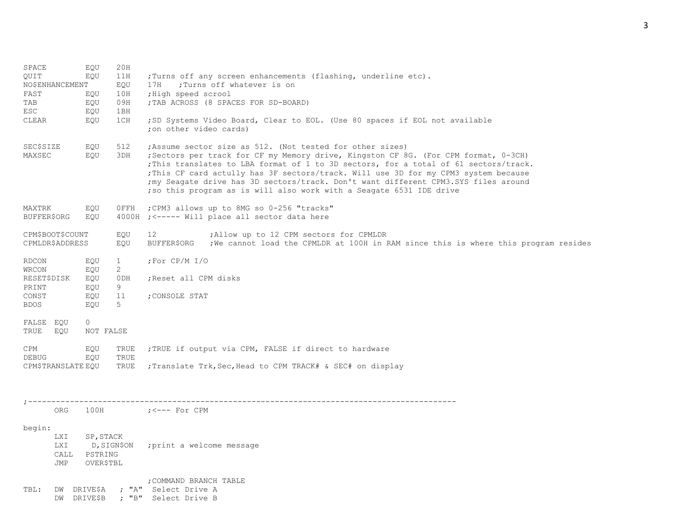| SPACE<br>EQU<br>20H<br>OUIT<br>11H<br>EQU<br><b>NO\$ENHANCEMENT</b><br>EOU<br>10H<br>FAST<br>EQU<br>09H<br>TAB<br>EQU<br>ESC.<br>1BH<br>EOU<br>1CH<br>CLEAR<br>EQU |                                                                                                            |                                                         |                                                                                                                                                     | ; Turns off any screen enhancements (flashing, underline etc).<br>:Turns off whatever is on<br>17H<br>;High speed scrool<br>; TAB ACROSS (8 SPACES FOR SD-BOARD)<br>;SD Systems Video Board, Clear to EOL. (Use 80 spaces if EOL not available<br>; on other video cards)                                                                                                                                                                                                                      |  |  |  |  |  |  |  |
|--------------------------------------------------------------------------------------------------------------------------------------------------------------------|------------------------------------------------------------------------------------------------------------|---------------------------------------------------------|-----------------------------------------------------------------------------------------------------------------------------------------------------|------------------------------------------------------------------------------------------------------------------------------------------------------------------------------------------------------------------------------------------------------------------------------------------------------------------------------------------------------------------------------------------------------------------------------------------------------------------------------------------------|--|--|--|--|--|--|--|
| SEC\$SIZE<br>EQU<br>512<br>MAXSEC<br>EQU<br>3DH                                                                                                                    |                                                                                                            |                                                         |                                                                                                                                                     | ; Assume sector size as 512. (Not tested for other sizes)<br>; Sectors per track for CF my Memory drive, Kingston CF 8G. (For CPM format, 0-3CH)<br>; This translates to LBA format of 1 to 3D sectors, for a total of 61 sectors/track.<br>; This CF card actully has 3F sectors/track. Will use 3D for my CPM3 system because<br>; my Seagate drive has 3D sectors/track. Don't want different CPM3.SYS files around<br>; so this program as is will also work with a Seagate 6531 IDE drive |  |  |  |  |  |  |  |
| MAXTRK<br>EQU<br>OFFH<br>BUFFER\$ORG<br>EOU                                                                                                                        |                                                                                                            |                                                         | ; CPM3 allows up to 8MG so 0-256 "tracks"<br>4000H ; <----- Will place all sector data here                                                         |                                                                                                                                                                                                                                                                                                                                                                                                                                                                                                |  |  |  |  |  |  |  |
| CPM\$BOOT\$COUNT<br>EQU<br><b>CPMLDR\$ADDRESS</b><br>EQU                                                                                                           |                                                                                                            |                                                         | ; Allow up to 12 CPM sectors for CPMLDR<br>12<br>BUFFER\$ORG<br>; We cannot load the CPMLDR at 100H in RAM since this is where this program resides |                                                                                                                                                                                                                                                                                                                                                                                                                                                                                                |  |  |  |  |  |  |  |
| RDCON<br>WRCON<br>PRINT<br>CONST<br><b>BDOS</b><br>FALSE EQU                                                                                                       | EQU<br>1<br>$\overline{2}$<br>EQU<br><b>RESET\$DISK</b><br>EQU<br>ODH<br>EQU<br>9<br>11<br>EQU<br>5<br>EOU |                                                         |                                                                                                                                                     | ; For $CP/M$ $I/O$<br>; Reset all CPM disks<br>CONSOLE STAT;                                                                                                                                                                                                                                                                                                                                                                                                                                   |  |  |  |  |  |  |  |
| TRUE                                                                                                                                                               | EOU                                                                                                        | $\circ$<br>NOT FALSE                                    |                                                                                                                                                     |                                                                                                                                                                                                                                                                                                                                                                                                                                                                                                |  |  |  |  |  |  |  |
| CPM<br>EQU<br>TRUE<br><b>DEBUG</b><br>EOU<br>TRUE<br>TRUE<br>CPM\$TRANSLATE EQU                                                                                    |                                                                                                            |                                                         | ; TRUE if output via CPM, FALSE if direct to hardware<br>; Translate Trk, Sec, Head to CPM TRACK# & SEC# on display                                 |                                                                                                                                                                                                                                                                                                                                                                                                                                                                                                |  |  |  |  |  |  |  |
|                                                                                                                                                                    | ORG                                                                                                        | 100H                                                    |                                                                                                                                                     | ;<--- For CPM                                                                                                                                                                                                                                                                                                                                                                                                                                                                                  |  |  |  |  |  |  |  |
| begin:                                                                                                                                                             | LXI<br>LXI<br>CALL<br><b>JMP</b>                                                                           | SP, STACK<br>D, SIGN\$ON<br>PSTRING<br><b>OVER\$TBL</b> |                                                                                                                                                     | print a welcome message;                                                                                                                                                                                                                                                                                                                                                                                                                                                                       |  |  |  |  |  |  |  |
| TBL:                                                                                                                                                               |                                                                                                            | DW DRIVE\$A                                             |                                                                                                                                                     | ; COMMAND BRANCH TABLE<br>; "A" Select Drive A<br>DW DRIVE\$B ; "B" Select Drive B                                                                                                                                                                                                                                                                                                                                                                                                             |  |  |  |  |  |  |  |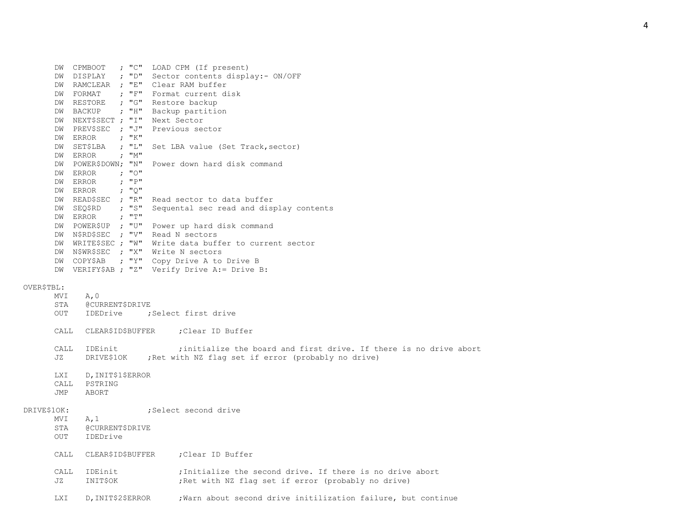| DW |               |  | CPMBOOT ; "C" LOAD CPM (If present)                   |
|----|---------------|--|-------------------------------------------------------|
| DW |               |  | DISPLAY ; "D" Sector contents display:- ON/OFF        |
| DW |               |  | RAMCLEAR ; "E" Clear RAM buffer                       |
| DW |               |  | FORMAT ; "F" Format current disk                      |
| DW |               |  | RESTORE ; "G" Restore backup                          |
| DW |               |  | BACKUP ; "H" Backup partition                         |
| DW |               |  | NEXT\$SECT ; "I" Next Sector                          |
| DW |               |  | PREV\$SEC ; "J" Previous sector                       |
| DW | ERROR ; "K"   |  |                                                       |
| DW | SETȘLBA ; "L" |  | Set LBA value (Set Track, sector)                     |
| DW | ERROR ; "M"   |  |                                                       |
| DW |               |  | POWER\$DOWN; "N" Power down hard disk command         |
| DW | ERROR ; "O"   |  |                                                       |
| DW | ERROR ; "P"   |  |                                                       |
| DW | ERROR ; "Q"   |  |                                                       |
| DW |               |  | READ\$SEC ; "R" Read sector to data buffer            |
| DW |               |  | SEQ\$RD ; "S" Sequental sec read and display contents |
| DW | ERROR $; "T"$ |  |                                                       |
| DW |               |  | POWER\$UP ; "U" Power up hard disk command            |
| DW |               |  | N\$RD\$SEC ; "V" Read N sectors                       |
| DW |               |  | WRITE\$SEC ; "W" Write data buffer to current sector  |
| DW |               |  | N\$WR\$SEC ; "X" Write N sectors                      |
| DW |               |  | COPY\$AB ; "Y" Copy Drive A to Drive B                |
| DW |               |  | VERIFY\$AB ; "Z" Verify Drive A:= Drive B:            |
|    |               |  |                                                       |

## OVER\$TBL:

|             | MVI<br>STA                | A, 0<br>@CURRENT\$DRIVE               |                                                                                                                                      |
|-------------|---------------------------|---------------------------------------|--------------------------------------------------------------------------------------------------------------------------------------|
|             | OUT                       |                                       | IDEDrive : Select first drive                                                                                                        |
|             | CALL                      |                                       | CLEAR\$ID\$BUFFER ; Clear ID Buffer                                                                                                  |
|             | CALL<br>JZ.               | IDEinit                               | ; initialize the board and first drive. If there is no drive abort<br>DRIVE\$10K ; Ret with NZ flag set if error (probably no drive) |
|             | LXI<br><b>CALL</b><br>JMP | D, INIT\$1\$ERROR<br>PSTRING<br>ABORT |                                                                                                                                      |
| DRIVE\$1OK: |                           |                                       | :Select second drive                                                                                                                 |
|             | MVI<br>STA<br>OUT         | A, 1<br>@CURRENT\$DRIVE<br>IDEDrive   |                                                                                                                                      |
|             | CALL                      |                                       | CLEAR\$ID\$BUFFER ;Clear ID Buffer                                                                                                   |
|             | CALL<br>JZ.               | IDEinit<br>INIT\$OK                   | :Initialize the second drive. If there is no drive abort<br>; Ret with NZ flag set if error (probably no drive)                      |
|             | LXI                       | D, INIT\$2\$ERROR                     | ; Warn about second drive initilization failure, but continue                                                                        |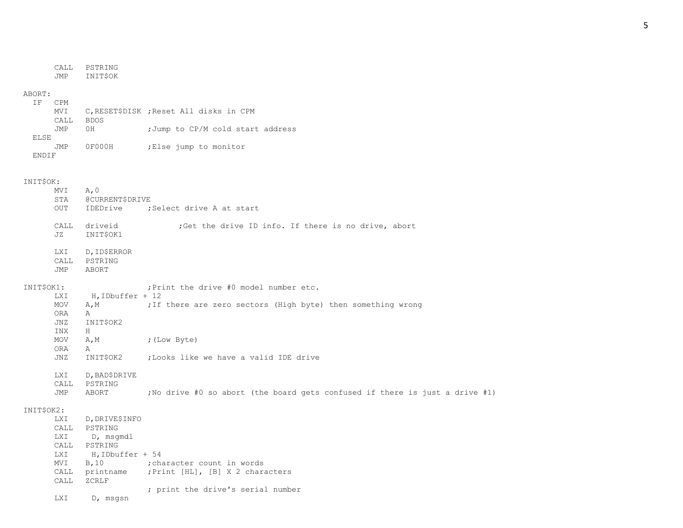CALL PSTRING JMP INIT\$OK

#### ABORT:

| ΤF          | C <sub>PM</sub><br>MVI |        | C, RESET\$DISK; Reset All disks in CPM |
|-------------|------------------------|--------|----------------------------------------|
|             | CALL                   | BDOS   |                                        |
|             | JMP                    | 0H     | ; Jump to CP/M cold start address      |
| <b>ELSE</b> |                        |        |                                        |
|             | <b>JMP</b>             | OF000H | ;Else jump to monitor                  |
| END T F     |                        |        |                                        |

#### INIT\$OK:

|            | MVI                      | A, 0                        |                                                                              |
|------------|--------------------------|-----------------------------|------------------------------------------------------------------------------|
|            | STA<br>OUT               | @CURRENT\$DRIVE<br>IDEDrive | ;Select drive A at start                                                     |
|            |                          |                             |                                                                              |
|            | CALL                     | driveid                     | ; Get the drive ID info. If there is no drive, abort                         |
|            | JZ                       | INIT\$OK1                   |                                                                              |
|            | <b>LXI</b>               | D, ID\$ERROR                |                                                                              |
|            | CALL                     | PSTRING                     |                                                                              |
|            | JMP                      | <b>ABORT</b>                |                                                                              |
| INIT\$OK1: |                          |                             | : Print the drive #0 model number etc.                                       |
|            | <b>LXI</b>               | H, IDbuffer + 12            |                                                                              |
|            | MOV                      | A, M                        | ; If there are zero sectors (High byte) then something wrong                 |
|            | <b>ORA</b><br><b>JNZ</b> | A<br>INIT\$OK2              |                                                                              |
|            | INX                      | H                           |                                                                              |
|            | <b>MOV</b>               | A, M                        | ; (Low Byte)                                                                 |
|            | <b>ORA</b>               | Α                           |                                                                              |
|            | JNZ                      | INIT\$OK2                   | ; Looks like we have a valid IDE drive                                       |
|            |                          |                             |                                                                              |
|            | LXI                      | D, BAD\$DRIVE               |                                                                              |
|            | CALL                     | PSTRING                     |                                                                              |
|            | JMP                      | ABORT                       | ; No drive #0 so abort (the board gets confused if there is just a drive #1) |
| INIT\$OK2: |                          |                             |                                                                              |
|            | LXI                      | D, DRIVE\$INFO              |                                                                              |
|            | CALL                     | PSTRING                     |                                                                              |
|            | LXI                      | D, msqmdl                   |                                                                              |
|            | CALL                     | PSTRING                     |                                                                              |
|            | <b>LXI</b>               | H, IDbuffer + 54            |                                                                              |
|            | MVI                      | B, 10                       | character count in words;                                                    |
|            | CALL<br>CALL             | printname<br>ZCRLF          | ; Print [HL], [B] X 2 characters                                             |
|            |                          |                             | ; print the drive's serial number                                            |
|            | <b>LXI</b>               | D, msgsn                    |                                                                              |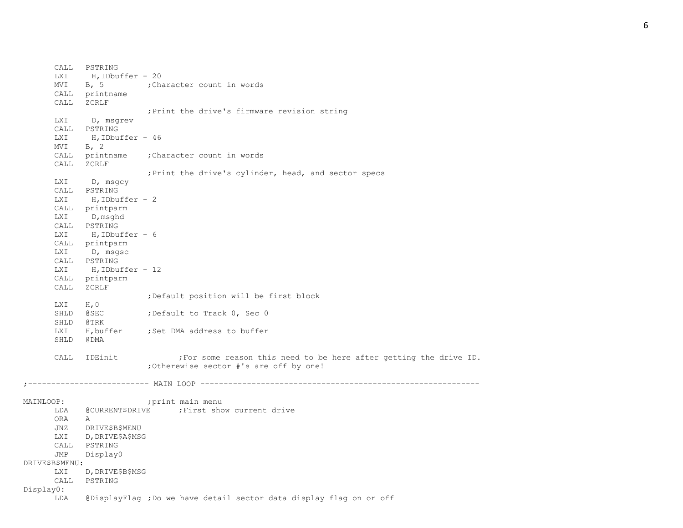MVI B, 5 ; Character count in words

CALL printname CALL ZCRLF ;Print the drive's firmware revision string LXI D, msgrev CALL PSTRING LXI H, IDbuffer + 46  $MVI$  B, 2 CALL printname ;Character count in words CALL ZCRLF ;Print the drive's cylinder, head, and sector specs LXI D, msgcy CALL PSTRING LXI H, IDbuffer + 2 CALL printparm LXI D, msghd CALL PSTRING LXI H, IDbuffer + 6 CALL printparm LXI D, msgsc CALL PSTRING LXI H, IDbuffer + 12 CALL printparm CALL ZCRLF ;Default position will be first block LXI H, 0 SHLD @SEC ;Default to Track 0, Sec 0 SHLD @TRK LXI H, buffer ; Set DMA address to buffer SHLD @DMA CALL IDEinit ;For some reason this need to be here after getting the drive ID. ;Otherewise sector #'s are off by one! ;-------------------------- MAIN LOOP ------------------------------------------------------------ MAINLOOP: ; ; ; ; print main menu LDA @CURRENT\$DRIVE ; First show current drive ORA A JNZ DRIVE\$B\$MENU LXI D, DRIVE\$A\$MSG CALL PSTRING JMP Display0 DRIVE\$B\$MENU: LXI D, DRIVE\$B\$MSG CALL PSTRING Display0: LDA @DisplayFlag ;Do we have detail sector data display flag on or off

CALL PSTRING

LXI H.IDbuffer + 20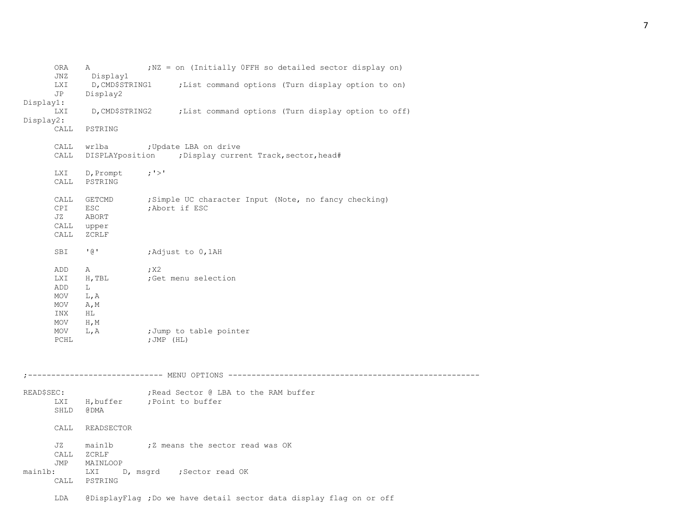| ORA<br>JNZ<br>LXI               | A<br>Display1<br>D,CMD\$STRING1               | ; NZ = on (Initially OFFH so detailed sector display on)<br>; List command options (Turn display option to on) |
|---------------------------------|-----------------------------------------------|----------------------------------------------------------------------------------------------------------------|
| JP                              | Display2                                      |                                                                                                                |
| Display1:<br>LXI<br>Display2:   |                                               | D, CMD\$STRING2 ; List command options (Turn display option to off)                                            |
| CALL                            | PSTRING                                       |                                                                                                                |
| CALL<br>CALL                    | wrlba                                         | ; Update LBA on drive<br>DISPLAYposition ; Display current Track, sector, head#                                |
| LXI<br>CALL                     | $D,$ Prompt ; '>'<br>PSTRING                  |                                                                                                                |
| CALL<br>CPI<br>JZ<br>CALL       | GETCMD<br>ESC<br>ABORT<br>CALL upper<br>ZCRLF | ; Simple UC character Input (Note, no fancy checking)<br>;Abort if ESC                                         |
| SBI                             | ' @ '                                         | Adjust to 0,1AH;                                                                                               |
| ADD<br>LXI<br>ADD<br>MOV<br>MOV | A<br>H, TBL<br>L<br>L, A<br>A, M              | ; X2<br>;Get menu selection                                                                                    |
| INX<br>MOV<br>MOV<br>PCHL       | HL<br>$H$ , $M$<br>L, A                       | ;Jump to table pointer<br>;JMP (HL)                                                                            |
|                                 |                                               |                                                                                                                |
| READ\$SEC:<br>SHLD              | @ DMA                                         | ; Read Sector @ LBA to the RAM buffer<br>LXI H, buffer ; Point to buffer                                       |
| CALL                            | READSECTOR                                    |                                                                                                                |
| JZ<br>JMP                       | CALL ZCRLF<br>MAINLOOP                        | main1b : 7 means the sector read was OK                                                                        |
| main1b:<br>CALL                 | LXI<br>PSTRING                                | D, msgrd ; Sector read OK                                                                                      |
| LDA                             |                                               | @DisplayFlag ; Do we have detail sector data display flag on or off                                            |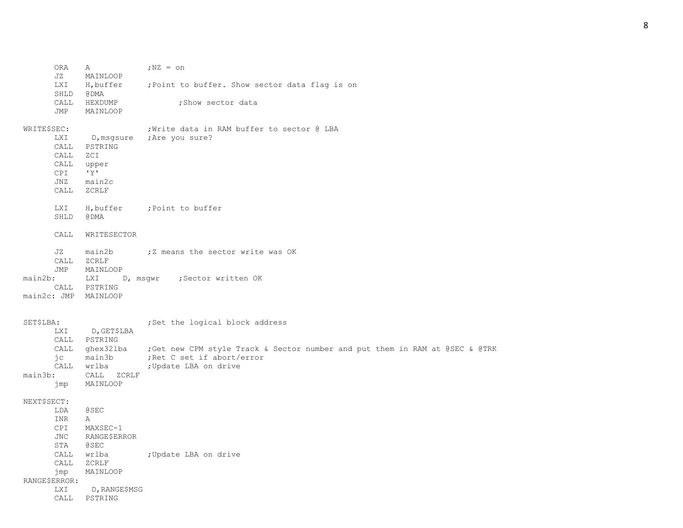| <b>ORA</b><br>JZ                                                                              | Α<br>MAINLOOP                                                                             | $;$ NZ = $\circ$ n                                                                                                                                                     |
|-----------------------------------------------------------------------------------------------|-------------------------------------------------------------------------------------------|------------------------------------------------------------------------------------------------------------------------------------------------------------------------|
| LXI<br>SHLD                                                                                   | H, buffer<br>@ DMA                                                                        | ; Point to buffer. Show sector data flag is on                                                                                                                         |
| CALL<br>JMP                                                                                   | HEXDUMP<br>MAINLOOP                                                                       | ; Show sector data                                                                                                                                                     |
| WRITE\$SEC:<br>LXI<br>CALL<br>CALL<br>CALL<br>CPI<br>JNZ<br>CALL                              | D,msgsure<br>PSTRING<br>ZCI<br>upper<br>'Y'<br>main2c<br>ZCRLF                            | ; Write data in RAM buffer to sector @ LBA<br>;Are you sure?                                                                                                           |
| LXI<br>SHLD                                                                                   | H, buffer<br>@ DMA                                                                        | ;Point to buffer                                                                                                                                                       |
| CALL                                                                                          | WRITESECTOR                                                                               |                                                                                                                                                                        |
| JZ<br>CALL<br>JMP<br>main2b:<br>CALL<br>main2c: JMP                                           | main2b<br>ZCRLF<br>MAINLOOP<br>D, msqwr<br>LXI<br>PSTRING<br>MAINLOOP                     | ;Z means the sector write was OK<br>;Sector written OK                                                                                                                 |
| SET\$LBA:<br>LXI<br>CALL<br>CALL<br>jс<br>CALL                                                | D,GET\$LBA<br>PSTRING<br>ghex32lba<br>main3b<br>wrlba                                     | ; Set the logical block address<br>; Get new CPM style Track & Sector number and put them in RAM at @SEC & @TRK<br>; Ret C set if abort/error<br>; Update LBA on drive |
| $main3b$ :<br>jmp                                                                             | CALL<br>ZCRLF<br>MAINLOOP                                                                 |                                                                                                                                                                        |
| NEXT\$SECT:<br>LDA<br><b>INR</b><br>CPI<br>JNC<br>STA<br>CALL<br>CALL<br>jmp<br>RANGE\$ERROR: | <b>@SEC</b><br>Α<br>MAXSEC-1<br>RANGE\$ERROR<br><b>@SEC</b><br>wrlba<br>ZCRLF<br>MAINLOOP | ; Update LBA on drive                                                                                                                                                  |
| <b>LXI</b><br>CALL                                                                            | D, RANGE\$MSG<br>PSTRING                                                                  |                                                                                                                                                                        |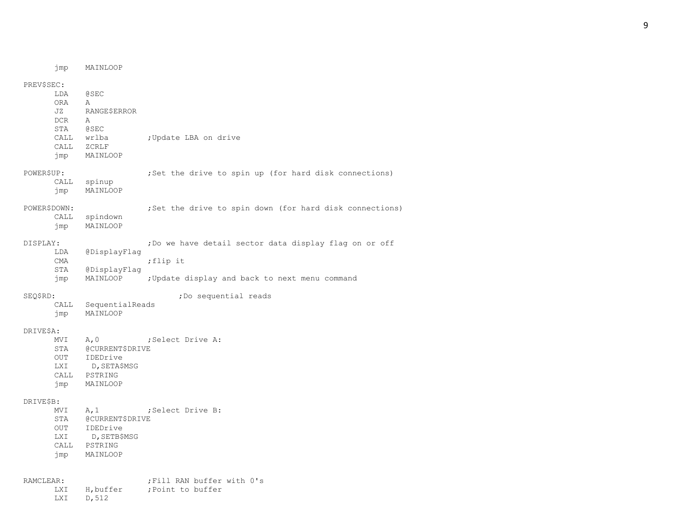jmp MAINLOOP PREV\$SEC: LDA @SEC ORA A JZ RANGE\$ERROR DCR A STA @SEC CALL wrlba : Update LBA on drive CALL ZCRLF jmp MAINLOOP POWER\$UP: ; Set the drive to spin up (for hard disk connections) CALL spinup jmp MAINLOOP POWER\$DOWN: ; ;Set the drive to spin down (for hard disk connections) CALL spindown jmp MAINLOOP DISPLAY:  $\bigcup_{i=1}^{n}$  , Do we have detail sector data display flag on or off LDA @DisplayFlag CMA ; flip it STA @DisplayFlag jmp MAINLOOP ;Update display and back to next menu command SEQ\$RD:  $\qquad \qquad$  ; Do sequential reads CALL SequentialReads jmp MAINLOOP DRIVE\$A: MVI A, 0 ; Select Drive A: STA @CURRENT\$DRIVE OUT IDEDrive LXI D, SETA\$MSG CALL PSTRING jmp MAINLOOP DRIVE\$B: MVI A, 1 ; Select Drive B: STA @CURRENT\$DRIVE OUT IDEDrive LXI D, SETB\$MSG CALL PSTRING jmp MAINLOOP RAMCLEAR: ; ;Fill RAN buffer with 0's LXI H, buffer ; Point to buffer

LXI D,512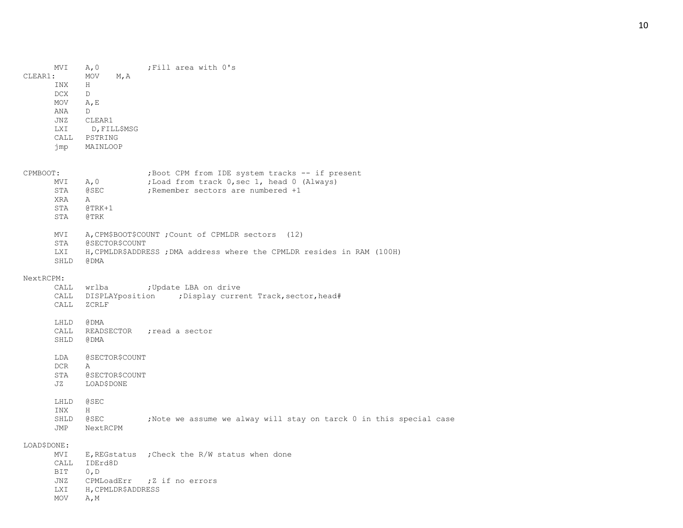MVI A, 0 ; Fill area with 0's CLEAR1: MOV M,A INX H DCX D MOV A,E ANA D JNZ CLEAR1 LXI D,FILL\$MSG CALL PSTRING jmp MAINLOOP CPMBOOT: ;Boot CPM from IDE system tracks -- if present MVI A, 0 ;Load from track 0, sec 1, head 0 (Always) STA @SEC ;Remember sectors are numbered +1 XRA A STA @TRK+1 STA @TRK MVI A, CPM\$BOOT\$COUNT ; Count of CPMLDR sectors (12) STA @SECTOR\$COUNT LXI H,CPMLDR\$ADDRESS ;DMA address where the CPMLDR resides in RAM (100H) SHLD @DMA NextRCPM: CALL wrlba : Update LBA on drive CALL DISPLAYposition ; Display current Track, sector, head# CALL ZCRLF LHLD @DMA CALL READSECTOR ; read a sector SHLD @DMA LDA @SECTOR\$COUNT DCR A STA @SECTOR\$COUNT JZ LOAD\$DONE LHLD @SEC INX H SHLD @SEC ;Note we assume we alway will stay on tarck 0 in this special case JMP NextRCPM LOAD\$DONE: MVI E, REGstatus ; Check the R/W status when done CALL IDErd8D BIT 0,D JNZ CPMLoadErr ; Z if no errors LXI H,CPMLDR\$ADDRESS MOV A,M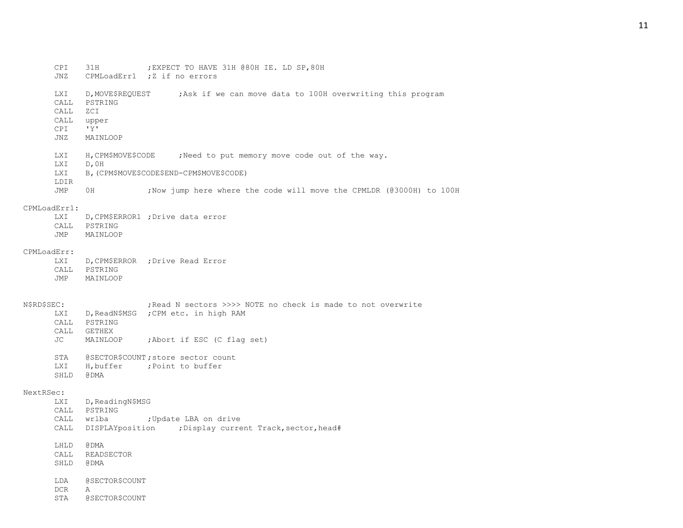- CPI 31H ;EXPECT TO HAVE 31H @80H IE. LD SP,80H
- JNZ CPMLoadErr1 ; Z if no errors
- LXI D, MOVE\$REQUEST ; Ask if we can move data to 100H overwriting this program
- CALL PSTRING
- CALL ZCI
- CALL upper
- CPI 'Y'
- JNZ MAINLOOP
- LXI H, CPM\$MOVE\$CODE ; Need to put memory move code out of the way.
- LXI D,0H
- LXI B,(CPM\$MOVE\$CODE\$END-CPM\$MOVE\$CODE)
- LDIR
- JMP 0H ;Now jump here where the code will move the CPMLDR (@3000H) to 100H

#### CPMLoadErr1:

LXI D, CPM\$ERROR1 ; Drive data error CALL PSTRING JMP MAINLOOP

#### CPMLoadErr:

LXI D, CPM\$ERROR ; Drive Read Error CALL PSTRING JMP MAINLOOP

- N\$RD\$SEC: ; ;Read N sectors >>>> NOTE no check is made to not overwrite LXI D, ReadN\$MSG ; CPM etc. in high RAM CALL PSTRING
	- CALL GETHEX JC MAINLOOP ;Abort if ESC (C flag set) STA @SECTOR\$COUNT; store sector count
	- LXI H, buffer ; Point to buffer SHLD @DMA

### NextRSec:

- LXI D, ReadingN\$MSG CALL PSTRING CALL wrlba ; Update LBA on drive CALL DISPLAYposition ; Display current Track, sector, head#
- LHLD @DMA
- CALL READSECTOR
- SHLD @DMA
- LDA @SECTOR\$COUNT
- DCR A
- STA @SECTOR\$COUNT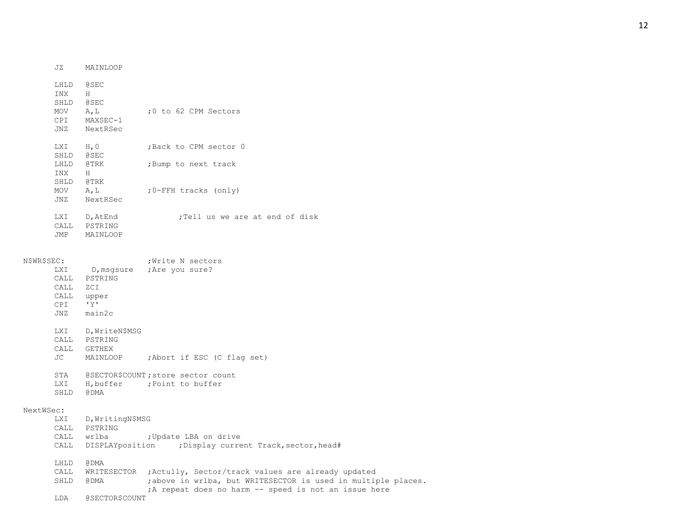| JZ         | MAINLOOP                                                            |                                              |
|------------|---------------------------------------------------------------------|----------------------------------------------|
| INX<br>MOV | LHLD @SEC<br>H<br>SHLD @SEC<br>A, L<br>CPI MAXSEC-1<br>JNZ NextRSec | $:0$ to 62 CPM Sectors                       |
|            | LXI H, 0<br>SHLD @SEC<br>LHLD @TRK                                  | ;Back to CPM sector 0<br>;Bump to next track |
| <b>INX</b> | H<br>SHLD @TRK                                                      |                                              |
| MOV<br>JNZ | A, L<br>NextRSec                                                    | $;0$ -FFH tracks (only)                      |
| LXI<br>JMP | D, AtEnd<br>CALL PSTRING<br>MAINLOOP                                | :Tell us we are at end of disk               |

| N\$WR\$SEC:          |                                                                            | ; Write N sectors                                                                                                     |
|----------------------|----------------------------------------------------------------------------|-----------------------------------------------------------------------------------------------------------------------|
| CALL<br>CALL<br>CPI  | CALL PSTRING<br>ZCI<br>upper<br>$\mathbf{I} \vee \mathbf{I}$<br>JNZ main2c | LXI D, msqsure ; Are you sure?                                                                                        |
| LXI                  | D, WriteN\$MSG<br>CALL PSTRING<br>CALL GETHEX                              | JC MAINLOOP ; Abort if ESC (C flag set)                                                                               |
| SHLD                 | @ DMA                                                                      | STA @SECTOR\$COUNT; store sector count<br>LXI H, buffer ; Point to buffer                                             |
| NextWSec:            |                                                                            |                                                                                                                       |
|                      | LXI D, WritingN\$MSG<br>CALL PSTRING                                       | CALL wrlba . ; Update LBA on drive<br>CALL DISPLAYposition ; Display current Track, sector, head#                     |
| LHLD<br>CALL<br>SHLD | @ DMA<br>@ DMA                                                             | WRITESECTOR ; Actully, Sector/track values are already updated<br>; above in wrlba, but WRITESECTOR is used in multip |

|                                                     |  |  |  |  |  | ; above in wrlba, but WRITESECTOR is used in multiple places. |
|-----------------------------------------------------|--|--|--|--|--|---------------------------------------------------------------|
| A repeat does no harm -- speed is not an issue here |  |  |  |  |  |                                                               |

LDA @SECTOR\$COUNT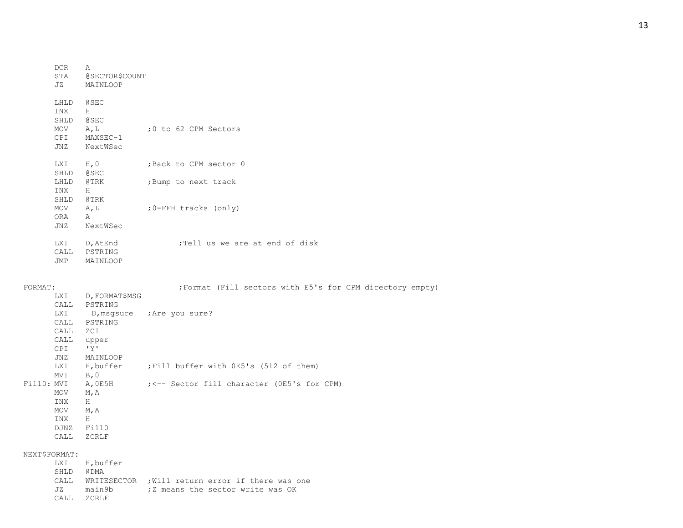|            | <b>DCR</b><br>STA<br>JZ                         | Α<br>@SECTOR\$COUNT<br>MAINLOOP                                 |                                                           |
|------------|-------------------------------------------------|-----------------------------------------------------------------|-----------------------------------------------------------|
|            | LHLD<br>INX<br>SHLD<br>MOV<br>CPI<br>JNZ        | <b>@SEC</b><br>H<br><b>@SEC</b><br>A, L<br>MAXSEC-1<br>NextWSec | ;0 to 62 CPM Sectors                                      |
|            | LXI<br>SHLD                                     | H, 0<br><b>@SEC</b>                                             | ; Back to CPM sector 0                                    |
|            | LHLD<br>INX                                     | @TRK<br>H                                                       | ;Bump to next track                                       |
|            | SHLD<br>MOV<br><b>ORA</b><br>JNZ                | @TRK<br>A, L<br>A<br>NextWSec                                   | ; 0-FFH tracks (only)                                     |
|            | LXI<br>JMP                                      | D,AtEnd<br>CALL PSTRING<br>MAINLOOP                             | ;Tell us we are at end of disk                            |
| FORMAT:    |                                                 |                                                                 | ; Format (Fill sectors with E5's for CPM directory empty) |
|            | LXI<br>CALL                                     | D, FORMAT\$MSG<br>PSTRING                                       |                                                           |
|            | LXI<br>CALL<br>CALL<br>CALL<br>CPI<br>JNZ       | PSTRING<br>ZCI<br>upper<br>'Y'<br>MAINLOOP                      | D, msgsure ; Are you sure?                                |
|            | LXI                                             |                                                                 | H, buffer ; Fill buffer with OE5's (512 of them)          |
| FillO: MVI | MVI<br>MOV<br>INX<br>MOV<br>INX<br>DJNZ<br>CALL | B, 0<br>A,0E5H<br>M, A<br>Η<br>M, A<br>H<br>Fill0<br>ZCRLF      | $\div$ $\div$ Sector fill character (OE5's for CPM)       |
|            | NEXT\$FORMAT:                                   |                                                                 |                                                           |
|            | LXI<br>SHLD<br>CALL                             | H, buffer<br>@ DMA                                              | WRITESECTOR ; Will return error if there was one          |

JZ main9b ; Z means the sector write was OK

CALL ZCRLF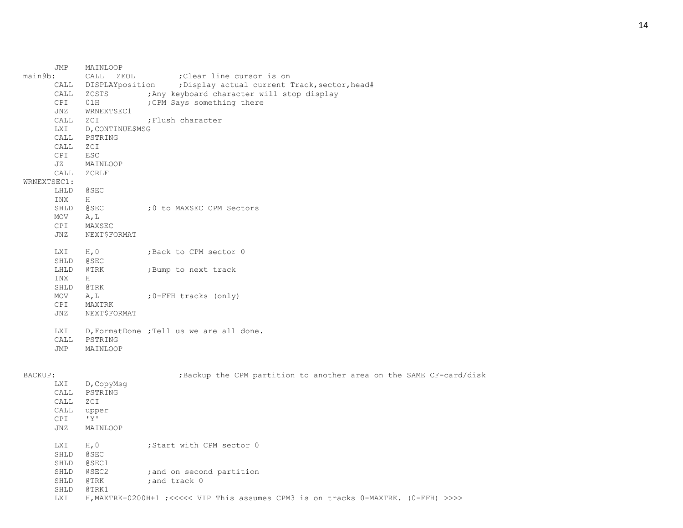|             | JMP  | MAINLOOP         |                                                                                     |
|-------------|------|------------------|-------------------------------------------------------------------------------------|
| main9b:     |      | CALL<br>ZEOL     | ; Clear line cursor is on                                                           |
|             | CALL | DISPLAYposition  | ; Display actual current Track, sector, head#                                       |
|             | CALL | ZCSTS            | ; Any keyboard character will stop display                                          |
|             | CPI  | 01H              | ; CPM Says something there                                                          |
|             | JNZ  | WRNEXTSEC1       |                                                                                     |
|             | CALL | ZCI              | ; Flush character                                                                   |
|             | LXI  | D, CONTINUE\$MSG |                                                                                     |
|             | CALL | PSTRING          |                                                                                     |
|             | CALL | ZCI              |                                                                                     |
|             | CPI  | <b>ESC</b>       |                                                                                     |
|             | JZ   | MAINLOOP         |                                                                                     |
|             | CALL | ZCRLF            |                                                                                     |
| WRNEXTSEC1: |      |                  |                                                                                     |
|             | LHLD | <b>@SEC</b>      |                                                                                     |
|             | INX  | Н                |                                                                                     |
|             | SHLD | @SEC             | ;0 to MAXSEC CPM Sectors                                                            |
|             | MOV  | A, L             |                                                                                     |
|             | CPI  | MAXSEC           |                                                                                     |
|             | JNZ  | NEXT\$FORMAT     |                                                                                     |
|             | LXI  | H, 0             | ; Back to CPM sector 0                                                              |
|             | SHLD | @SEC             |                                                                                     |
|             | LHLD | @TRK             | ; Bump to next track                                                                |
|             | INX  | H                |                                                                                     |
|             | SHLD | @TRK             |                                                                                     |
|             | MOV  | A, L             | ;0-FFH tracks (only)                                                                |
|             | CPI  | MAXTRK           |                                                                                     |
|             | JNZ  | NEXT\$FORMAT     |                                                                                     |
|             | LXI  |                  | D, FormatDone ; Tell us we are all done.                                            |
|             | CALL | PSTRING          |                                                                                     |
|             | JMP  | MAINLOOP         |                                                                                     |
| BACKUP:     |      |                  | ; Backup the CPM partition to another area on the SAME CF-card/disk                 |
|             | LXI  | D, CopyMsg       |                                                                                     |
|             | CALL | PSTRING          |                                                                                     |
|             | CALL | ZCI              |                                                                                     |
|             | CALL | upper            |                                                                                     |
|             | CPI  | 'Y'              |                                                                                     |
|             | JNZ  | MAINLOOP         |                                                                                     |
|             | LXI  | H, 0             | ; Start with CPM sector 0                                                           |
|             | SHLD | @SEC             |                                                                                     |
|             | SHLD | @SEC1            |                                                                                     |
|             | SHLD | @SEC2            | ; and on second partition                                                           |
|             | SHLD | @TRK             | ; and track 0                                                                       |
|             | SHLD | @TRK1            |                                                                                     |
|             | LXI  |                  | H, MAXTRK+0200H+1 ; <<<<< VIP This assumes CPM3 is on tracks 0-MAXTRK. (0-FFH) >>>> |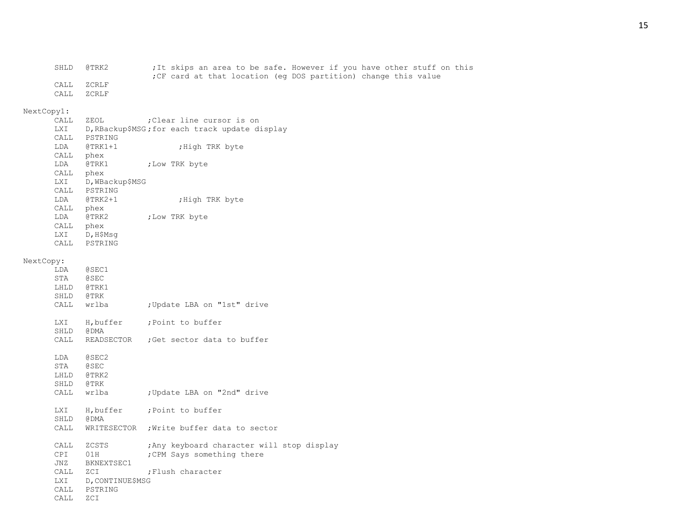| SHLD | @TRK2 | ;It skips an area to be safe. However if you have other stuff on this |  |
|------|-------|-----------------------------------------------------------------------|--|
|      |       | ; CF card at that location (eq DOS partition) change this value       |  |
| CALL | ZCRLF |                                                                       |  |
| CALL | ZCRLF |                                                                       |  |

# NextCopy1:<br>CALL ZEOL

|           | CALL<br>LXI<br>LDA<br>CALL phex<br>LDA @TRK1<br>CALL phex<br>LXI | ZEOL<br>CALL PSTRING<br>@TRK1+1<br>D, WBackup\$MSG                    | ; Clear line cursor is on<br>D, RBackup\$MSG; for each track update display<br>; High TRK byte<br>; Low TRK byte |
|-----------|------------------------------------------------------------------|-----------------------------------------------------------------------|------------------------------------------------------------------------------------------------------------------|
|           | CALL phex<br>LDA @TRK2<br>CALL phex                              | CALL PSTRING<br>LDA @TRK2+1<br>LXI D, H\$Msg<br>CALL PSTRING          | ; High TRK byte<br>; Low TRK byte                                                                                |
| NextCopy: | LDA<br>STA @SEC<br>LHLD @TRK1<br>SHLD @TRK                       | @SEC1                                                                 |                                                                                                                  |
|           |                                                                  | CALL wrlba                                                            | ; Update LBA on "1st" drive                                                                                      |
|           | SHLD                                                             | LXI H, buffer<br>@ DMA<br>CALL READSECTOR                             | ; Point to buffer<br>; Get sector data to buffer                                                                 |
|           | LDA<br>STA<br>LHLD @TRK2<br>SHLD                                 | @SEC2<br>@SEC<br>@TRK<br>CALL wrlba                                   | ; Update LBA on "2nd" drive                                                                                      |
|           | SHLD                                                             | LXI H, buffer<br>@ DMA                                                | ; Point to buffer                                                                                                |
|           | CALL                                                             | WRITESECTOR                                                           | ; Write buffer data to sector                                                                                    |
|           | CALL<br>CPI<br>JNZ<br>CALL<br>LXI                                | ZCSTS<br>01H<br>BKNEXTSEC1<br>ZCI<br>D, CONTINUE\$MSG<br>CALL PSTRING | ; Any keyboard character will stop display<br>; CPM Says something there<br>; Flush character                    |
|           | CALL                                                             | ZCI                                                                   |                                                                                                                  |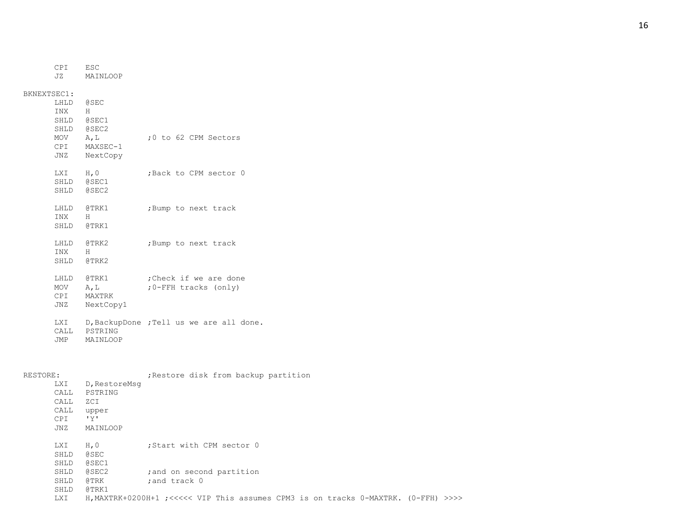|             | CPI        | ESC         |  |  |                      |
|-------------|------------|-------------|--|--|----------------------|
|             | JZ.        | MAINLOOP    |  |  |                      |
|             |            |             |  |  |                      |
| BKNEXTSEC1: |            |             |  |  |                      |
|             | LHLD       | <b>@SEC</b> |  |  |                      |
|             | INX        | Н           |  |  |                      |
|             | SHLD       | @SEC1       |  |  |                      |
|             | SHLD       | @SEC2       |  |  |                      |
|             | MOV        | A, L        |  |  | :0 to 62 CPM Sectors |
|             | <b>CPI</b> | MAXSEC-1    |  |  |                      |
|             | JNZ        | NextCopy    |  |  |                      |
|             |            |             |  |  |                      |

LXI H, 0 ; Back to CPM sector 0 SHLD @SEC1 SHLD @SEC2

| LHLD @TRK1 | ; Bump to next track |  |  |
|------------|----------------------|--|--|
| TNX        |                      |  |  |

- LHLD @TRK2 ;Bump to next track
- INX H SHLD @TRK2

SHLD @TRK1

- 
- LHLD @TRK1 ; Check if we are done
- MOV A, L ; 0-FFH tracks (only)
- CPI MAXTRK
- JNZ NextCopy1
- LXI D, BackupDone ; Tell us we are all done. CALL PSTRING JMP MAINLOOP
- 

| RESTORE: |                                                         |                                                             | ; Restore disk from backup partition                                               |
|----------|---------------------------------------------------------|-------------------------------------------------------------|------------------------------------------------------------------------------------|
|          | <b>LXI</b><br>CALL<br>CALL<br>CALL<br><b>CPI</b><br>JNZ | D, RestoreMsq<br>PSTRING<br>ZCI<br>upper<br>'Y'<br>MAINLOOP |                                                                                    |
|          | <b>LXI</b><br>SHLD<br>SHLD                              | H, 0<br><b>@SEC</b><br>@SEC1                                | :Start with CPM sector 0                                                           |
|          | SHLD<br>SHLD                                            | @SEC2<br>@TRK                                               | ; and on second partition<br>; and track 0                                         |
|          | SHLD<br><b>LXI</b>                                      | @TRK1                                                       | H, MAXTRK+0200H+1 ;<<<<< VIP This assumes CPM3 is on tracks 0-MAXTRK. (0-FFH) >>>> |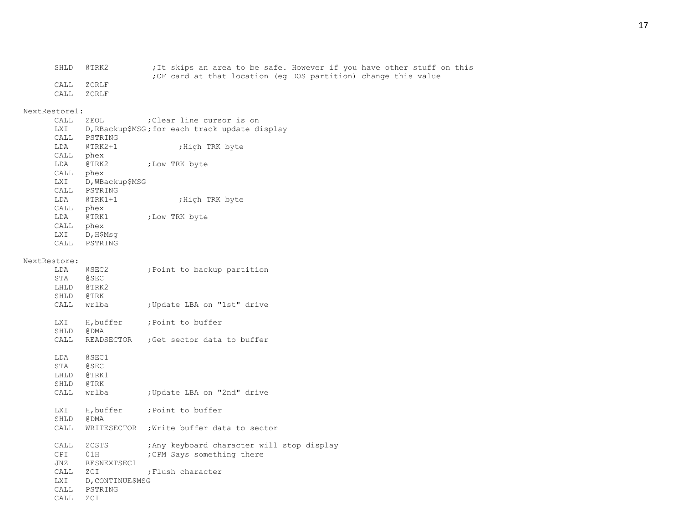| SHLD | @TRK2   | ;It skips an area to be safe. However if you have other stuff on this |
|------|---------|-----------------------------------------------------------------------|
|      |         | ; CF card at that location (eq DOS partition) change this value       |
| CALL | . ZCRLF |                                                                       |
| CALL | ZCRLF   |                                                                       |

# NextRestore1:<br>CALL ZEOL

| ハーロ ロヘエ ヘエー |                 |                                                |
|-------------|-----------------|------------------------------------------------|
| CALL        | ZEOL.           | :Clear line cursor is on                       |
| LXI         |                 | D, RBackup\$MSG; for each track update display |
| CALL        | PSTRING         |                                                |
| LDA         | $QTRK2+1$       | ;High TRK byte                                 |
| CALL        | phex            |                                                |
| LDA         | @TRK2           | ;Low TRK byte                                  |
| CALL        | phex            |                                                |
| LXI         | D, WBackup\$MSG |                                                |
| <b>CALL</b> | PSTRING         |                                                |
| LDA         | $QTRK1+1$       | ; High TRK byte                                |
| CALL        | phex            |                                                |
| LDA         | @TRK1           | ;Low TRK byte                                  |
| CALL        | phex            |                                                |
| LXI         | D, H\$Msq       |                                                |
| CALL        | PSTRING         |                                                |

### NextRestore:

| LDA<br>STA @SEC<br>LHLD @TRK2<br>SHLD @TRK       | @SEC2                                    | ; Point to backup partition                                            |
|--------------------------------------------------|------------------------------------------|------------------------------------------------------------------------|
|                                                  | CALL wrlba                               | ; Update LBA on "1st" drive                                            |
| SHLD @DMA                                        |                                          | LXI H, buffer ; Point to buffer                                        |
|                                                  |                                          | CALL READSECTOR ; Get sector data to buffer                            |
| LDA @SEC1<br>STA @SEC<br>LHLD @TRK1<br>SHLD @TRK |                                          |                                                                        |
|                                                  | CALL wrlba                               | ; Update LBA on "2nd" drive                                            |
| SHLD @DMA                                        |                                          | LXI H, buffer ; Point to buffer                                        |
|                                                  |                                          | CALL WRITESECTOR ; Write buffer data to sector                         |
|                                                  | CALL ZCSTS<br>CPI 01H<br>JNZ RESNEXTSEC1 | Any keyboard character will stop display<br>; CPM Says something there |
|                                                  | CALL ZCI                                 | :Flush character                                                       |
|                                                  | LXI D, CONTINUE\$MSG                     |                                                                        |
|                                                  | CALL PSTRING                             |                                                                        |
| CALL                                             | ZCI                                      |                                                                        |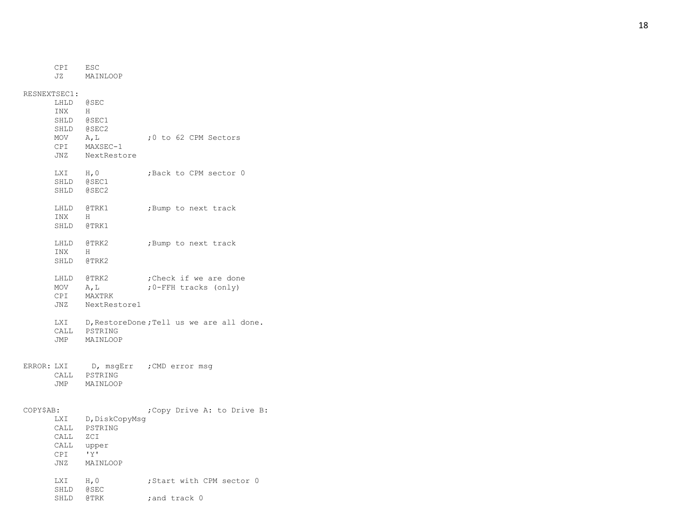CPI ESC JZ MAINLOOP RESNEXTSEC1: LHLD @SEC INX H SHLD @SEC1 SHLD @SEC2 MOV A, L ;0 to 62 CPM Sectors CPI MAXSEC-1 JNZ NextRestore LXI H, 0 ; Back to CPM sector 0 SHLD @SEC1 SHLD @SEC2 LHLD @TRK1 ; Bump to next track INX H SHLD @TRK1 LHLD @TRK2 ;Bump to next track INX  $\,$  H SHLD @TRK2 LHLD @TRK2 ; Check if we are done  $MOV A, L$ -FFH tracks (only) CPI MAXTRK JNZ NextRestore1 LXI D, RestoreDone; Tell us we are all done. CALL PSTRING JMP MAINLOOP ERROR: LXI D, msgErr ; CMD error msg CALL PSTRING JMP MAINLOOP COPY\$AB: ;Copy Drive A: to Drive B: LXI D, DiskCopyMsg CALL PSTRING CALL ZCI CALL upper CPI 'Y' JNZ MAINLOOP LXI H, 0 ; Start with CPM sector 0

; and track 0

SHLD @SEC SHLD @TRK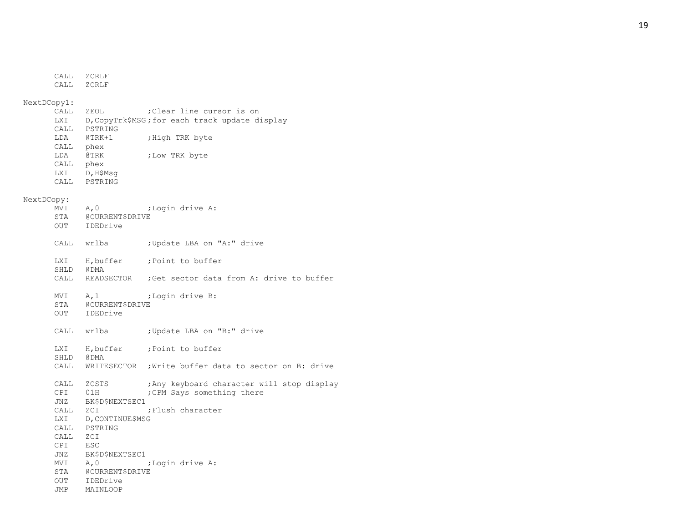|             | CALL<br>CALL       | ZCRLF<br>ZCRLF                  |                                                       |
|-------------|--------------------|---------------------------------|-------------------------------------------------------|
| NextDCopy1: |                    |                                 |                                                       |
|             | CALL               | ZEOL                            | ; Clear line cursor is on                             |
|             | LXI                |                                 | D, CopyTrk\$MSG; for each track update display        |
|             |                    | CALL PSTRING                    |                                                       |
|             | LDA                | @TRK+1                          | ;High TRK byte                                        |
|             | CALL phex          |                                 |                                                       |
|             | LDA                | @TRK                            | ;Low TRK byte                                         |
|             | CALL phex          |                                 |                                                       |
|             |                    | LXI D, H\$Msg                   |                                                       |
|             | CALL               | PSTRING                         |                                                       |
| NextDCopy:  |                    |                                 |                                                       |
|             |                    | $MVI \tA, 0$                    | ;Login drive A:                                       |
|             | STA                | @CURRENT\$DRIVE<br>OUT IDEDrive |                                                       |
|             |                    |                                 |                                                       |
|             | CALL               | wrlba                           | ;Update LBA on "A:" drive                             |
|             | LXI                | H,buffer                        | ; Point to buffer                                     |
|             | SHLD               | @ DMA                           |                                                       |
|             | CALL               |                                 | READSECTOR ; Get sector data from A: drive to buffer  |
|             | MVI                | A, 1                            | ;Login drive B:                                       |
|             | STA                | @CURRENT\$DRIVE                 |                                                       |
|             | OUT                | IDEDrive                        |                                                       |
|             | CALL wrlba         |                                 | ;Update LBA on "B:" drive                             |
|             |                    |                                 | LXI H, buffer ; Point to buffer                       |
|             | SHLD               | @ DMA                           |                                                       |
|             | CALL               |                                 | WRITESECTOR ; Write buffer data to sector on B: drive |
|             |                    |                                 |                                                       |
|             | CALL               | ZCSTS                           | ; Any keyboard character will stop display            |
|             | CPI                | 01H                             | ; CPM Says something there                            |
|             | JNZ                | BK\$D\$NEXTSEC1                 |                                                       |
|             | CALL               | ZCI                             | ; Flush character                                     |
|             | <b>LXI</b><br>CALL | D, CONTINUE\$MSG<br>PSTRING     |                                                       |
|             | CALL               | ZCI                             |                                                       |
|             | CPI                | ESC                             |                                                       |
|             | JNZ                | BK\$D\$NEXTSEC1                 |                                                       |
|             | MVI                | A, 0                            | ;Login drive A:                                       |
|             | STA                | @CURRENT\$DRIVE                 |                                                       |
|             | OUT                | IDEDrive                        |                                                       |
|             | JMP                | MAINLOOP                        |                                                       |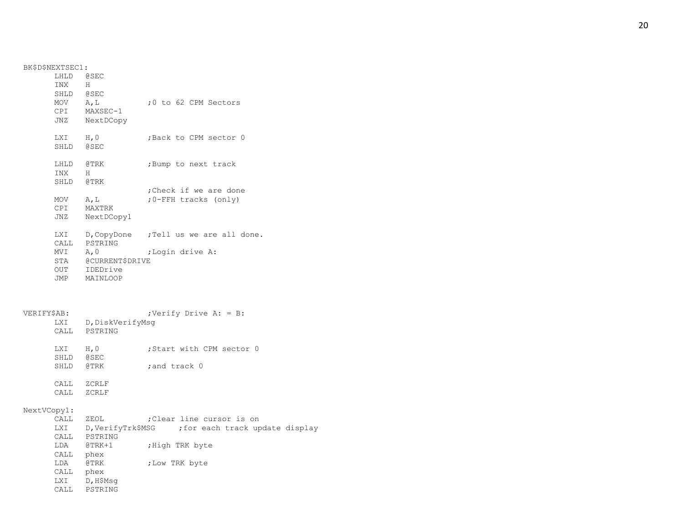BK\$D\$NEXTSEC1: LHLD @SEC INX H SHLD @SEC MOV A, L ;0 to 62 CPM Sectors CPI MAXSEC-1 JNZ NextDCopy LXI H, 0 ; Back to CPM sector 0 SHLD @SEC LHLD @TRK ;Bump to next track INX H SHLD @TRK ;Check if we are done  $MOV A, L$ -FFH tracks (only) CPI MAXTRK JNZ NextDCopy1 LXI D, CopyDone ; Tell us we are all done. CALL PSTRING MVI A, 0 ;Login drive A: STA @CURRENT\$DRIVE OUT IDEDrive JMP MAINLOOP VERIFY\$AB:  $;$  ; Verify Drive A: = B: LXI D, DiskVerifyMsq CALL PSTRING LXI H, 0 ; Start with CPM sector 0 SHLD @SEC SHLD @TRK ; and track 0 CALL ZCRLF CALL ZCRLF NextVCopy1: CALL ZEOL ; Clear line cursor is on LXI D, VerifyTrk\$MSG ; for each track update display CALL PSTRING LDA @TRK+1 ; High TRK byte CALL phex LDA @TRK ;Low TRK byte CALL phex LXI D, H\$Msg CALL PSTRING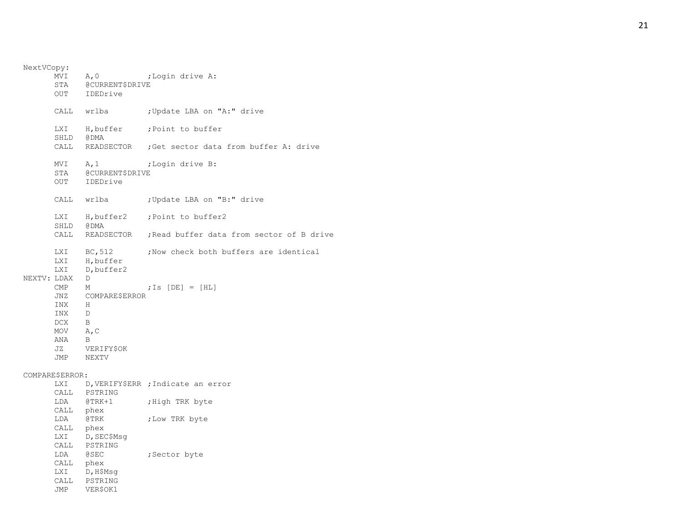NextVCopy: MVI A, 0 ; Login drive A: STA @CURRENT\$DRIVE OUT IDEDrive CALL wrlba ; Update LBA on "A:" drive LXI H, buffer ; Point to buffer SHLD @DMA CALL READSECTOR ;Get sector data from buffer A: drive MVI A, 1 ;Login drive B: STA @CURRENT\$DRIVE OUT IDEDrive CALL wrlba ; Update LBA on "B:" drive LXI H, buffer2 ; Point to buffer2 SHLD @DMA CALL READSECTOR ;Read buffer data from sector of B drive LXI BC, 512 ; Now check both buffers are identical LXI H, buffer LXI D, buffer2 NEXTV: LDAX D CMP M ;Is [DE] = [HL] JNZ COMPARE\$ERROR INX H INX D DCX B MOV A, C ANA B JZ VERIFY\$OK JMP NEXTV COMPARE\$ERROR: LXI D, VERIFY\$ERR ; Indicate an error CALL PSTRING LDA @TRK+1 ; High TRK byte CALL phex LDA @TRK ;Low TRK byte CALL phex LXI D, SEC\$Msg CALL PSTRING LDA @SEC ;Sector byte CALL phex LXI D, H\$Msq CALL PSTRING JMP VER\$OK1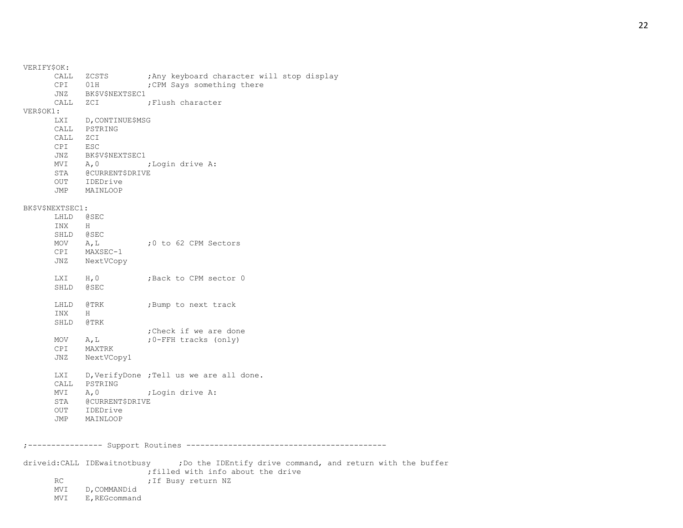| VERIFY\$OK: |                                  |                                                                                          |                            |  |  |                                            |
|-------------|----------------------------------|------------------------------------------------------------------------------------------|----------------------------|--|--|--------------------------------------------|
|             | CPI<br>JNZ                       | CALL ZCSTS<br>01H<br>BK\$V\$NEXTSEC1                                                     | ; CPM Says something there |  |  | ; Any keyboard character will stop display |
|             | CALL                             | ZCI                                                                                      | ; Flush character          |  |  |                                            |
| VER\$OK1:   | LXI<br>CALL                      | D, CONTINUE\$MSG<br>PSTRING                                                              |                            |  |  |                                            |
|             | CALL<br>CPI<br>JNZ<br>MVI<br>JMP | ZCI<br>ESC<br>BK\$V\$NEXTSEC1<br>A, 0<br>STA @CURRENT\$DRIVE<br>OUT IDEDrive<br>MAINLOOP | ;Login drive A:            |  |  |                                            |
|             | BK\$V\$NEXTSEC1:                 |                                                                                          |                            |  |  |                                            |
|             | LHLD<br>INX                      | @SEC<br>H                                                                                |                            |  |  |                                            |
|             | SHLD                             | @ SEC                                                                                    |                            |  |  |                                            |
|             | MOV $A, L$                       |                                                                                          | :0 to 62 CPM Sectors       |  |  |                                            |
|             | JNZ                              | CPI MAXSEC-1<br>NextVCopy                                                                |                            |  |  |                                            |
|             | LXI H, O<br>SHLD                 | @SEC                                                                                     | ;Back to CPM sector 0      |  |  |                                            |
|             | LHLD<br>INX<br>SHLD              | @TRK<br>H<br>@TRK                                                                        | ;Bump to next track        |  |  |                                            |
|             |                                  |                                                                                          | ; Check if we are done     |  |  |                                            |
|             | MOV                              | A, L                                                                                     | ;0-FFH tracks (only)       |  |  |                                            |
|             | CPI                              | MAXTRK                                                                                   |                            |  |  |                                            |
|             | JNZ                              | NextVCopy1                                                                               |                            |  |  |                                            |
|             | LXI<br>CALL                      | D, VerifyDone ; Tell us we are all done.<br>PSTRING                                      |                            |  |  |                                            |
|             | MVI                              | A, 0                                                                                     | ;Login drive A:            |  |  |                                            |
|             | STA                              | @CURRENT\$DRIVE                                                                          |                            |  |  |                                            |
|             | OUT                              | IDEDrive                                                                                 |                            |  |  |                                            |
|             | JMP                              | MAINLOOP                                                                                 |                            |  |  |                                            |
|             |                                  |                                                                                          |                            |  |  |                                            |

;---------------- Support Routines -------------------------------------------

driveid:CALL IDEwaitnotbusy . ; Do the IDEntify drive command, and return with the buffer ;filled with info about the drive RC FRIDER FILM STAR STAR SERIES STARS THE BUSY RETURN STARS

MVI D,COMMANDid

MVI E,REGcommand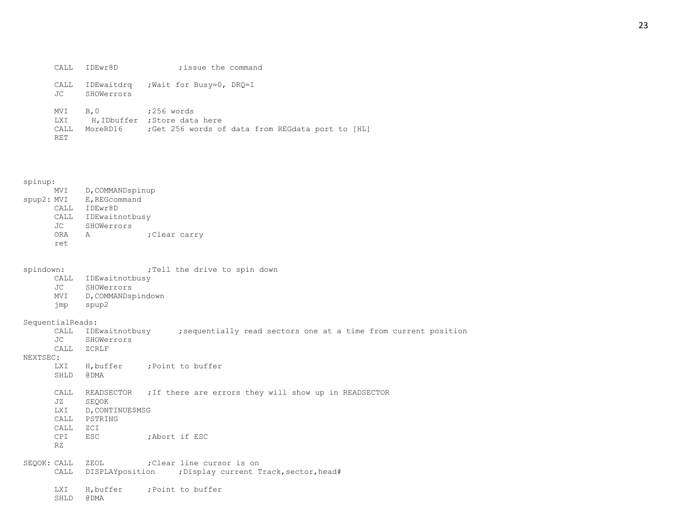|         | CALL IDEwr8D | ; issue the command                             |
|---------|--------------|-------------------------------------------------|
| JC      | SHOWerrors   | CALL IDEwaitdrg ; Wait for Busy=0, DRQ=1        |
| MVI B.O |              | ;256 words<br>I.XI H IDbuffer · Store data here |

| ⊥∆∆⊥ | n, ippullel, stole data hele |  |  |  |                                                  |  |  |
|------|------------------------------|--|--|--|--------------------------------------------------|--|--|
|      | CALL MoreRD16                |  |  |  | ;Get 256 words of data from REGdata port to [HL] |  |  |
| RET  |                              |  |  |  |                                                  |  |  |

|            | MVI  | D, COMMANDspinup |              |  |  |  |  |  |
|------------|------|------------------|--------------|--|--|--|--|--|
| spup2: MVI |      | E, REGcommand    |              |  |  |  |  |  |
|            | CALL | IDEwr8D          |              |  |  |  |  |  |
|            | CALL | IDEwaitnotbusy   |              |  |  |  |  |  |
|            | JC.  | SHOWerrors       |              |  |  |  |  |  |
|            | ORA  | A                | ;Clear carry |  |  |  |  |  |
|            | ret. |                  |              |  |  |  |  |  |

spindown: ;Tell the drive to spin down

- CALL IDEwaitnotbusy
- JC SHOWerrors
- MVI D,COMMANDspindown
- jmp spup2

SequentialReads:

| ; sequentially read sectors one at a time from current position |  | CALL IDEwaitnotbusy |  |  |  |  |  |  |
|-----------------------------------------------------------------|--|---------------------|--|--|--|--|--|--|
|-----------------------------------------------------------------|--|---------------------|--|--|--|--|--|--|

- JC SHOWerrors
- CALL ZCRLF

#### NEXTSEC:

| <b>LXI</b> | H, buffer |  | :Point to buffer |
|------------|-----------|--|------------------|
| SHLD       | A DMA     |  |                  |

```
CALL READSECTOR ;If there are errors they will show up in READSECTOR
```
- JZ SEQOK
- LXI D, CONTINUE\$MSG
- CALL PSTRING
- CALL ZCI
- CPI ESC ;Abort if ESC
- RZ

SEQOK: CALL ZEOL ; Clear line cursor is on CALL DISPLAYposition ; Display current Track, sector, head#

LXI H, buffer ; Point to buffer

SHLD @DMA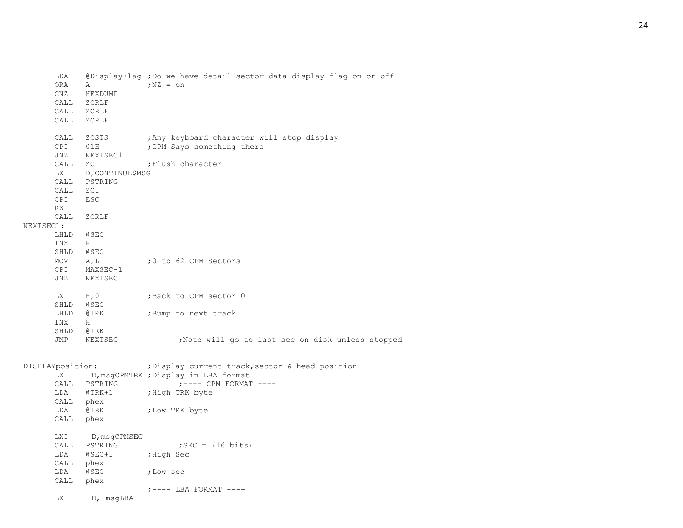| LDA<br>ORA<br>CALL<br>CALL<br>CALL                     | Α<br>CNZ HEXDUMP<br>ZCRLF<br>ZCRLF<br>ZCRLF                                                       | @DisplayFlag ; Do we have detail sector data display flag on or off<br>$;$ NZ = $\circ$ n                                                                 |
|--------------------------------------------------------|---------------------------------------------------------------------------------------------------|-----------------------------------------------------------------------------------------------------------------------------------------------------------|
| CALL<br>CPI<br>JNZ<br>LXI<br>CALL<br>CALL<br>CPI<br>RZ | ZCSTS<br>01H<br>NEXTSEC1<br>CALL ZCI<br>D, CONTINUE\$MSG<br>PSTRING<br>ZCI<br><b>ESC</b>          | Any keyboard character will stop display;<br>; CPM Says something there<br>;Flush character                                                               |
| CALL<br>NEXTSEC1:<br>INX<br>$MOV$ $A, L$<br>CPI        | ZCRLF<br>LHLD @SEC<br>H<br>SHLD @SEC<br>MAXSEC-1<br>JNZ NEXTSEC                                   | ;0 to 62 CPM Sectors                                                                                                                                      |
| INX<br>SHLD<br>JMP                                     | LXI H, 0<br>SHLD @SEC<br>LHLD @TRK<br>H<br>@TRK<br>NEXTSEC                                        | ;Back to CPM sector 0<br>;Bump to next track<br>;Note will go to last sec on disk unless stopped                                                          |
| DISPLAYposition:<br>LDA<br>LDA                         | CALL PSTRING<br>@TRK+1<br>CALL phex<br>@TRK<br>CALL phex                                          | ; Display current track, sector & head position<br>LXI D, msgCPMTRK ; Display in LBA format<br>$:---$ CPM FORMAT $---$<br>;High TRK byte<br>;Low TRK byte |
| <b>LXI</b>                                             | LXI D, msgCPMSEC<br>CALL PSTRING<br>LDA @SEC+1<br>CALL phex<br>LDA @SEC<br>CALL phex<br>D, msgLBA | ; SEC = $(16 \text{ bits})$<br>High Sec,<br>;Low sec<br>$;-----$ LBA FORMAT $---$                                                                         |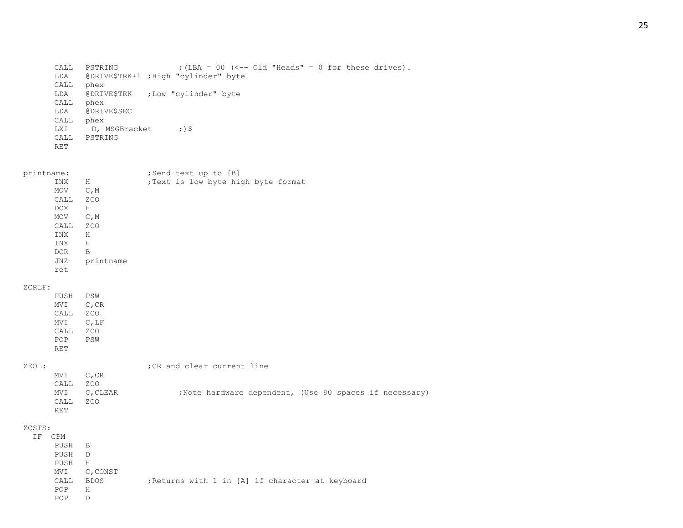```
CALL PSTRING ; (LBA = 00 (<-- Old "Heads" = 0 for these drives).
LDA @DRIVE$TRK+1 ;High "cylinder" byte
CALL phex
LDA @DRIVE$TRK ;Low "cylinder" byte
CALL phex
LDA @DRIVE$SEC
CALL phex
LXI D, MSGBracket ;) $
CALL PSTRING
RET
```

| printname: |           | ;Send text up to [B] |  |  |                                   |
|------------|-----------|----------------------|--|--|-----------------------------------|
| INX        | Н         |                      |  |  | Text is low byte high byte format |
| MOV        | C, M      |                      |  |  |                                   |
| CALL       | ZCO       |                      |  |  |                                   |
| DCX.       | Н         |                      |  |  |                                   |
| MOV        | C, M      |                      |  |  |                                   |
| CALL       | ZCO       |                      |  |  |                                   |
| <b>INX</b> | H         |                      |  |  |                                   |
| INX        | Н         |                      |  |  |                                   |
| <b>DCR</b> | B         |                      |  |  |                                   |
| JNZ        | printname |                      |  |  |                                   |
| ret        |           |                      |  |  |                                   |

#### ZCRLF:

PUSH PSW MVI C, CR CALL ZCO MVI C,LF CALL ZCO POP PSW RET

| ZEOL: |           |             | : CR and clear current line |  |  |                                                         |
|-------|-----------|-------------|-----------------------------|--|--|---------------------------------------------------------|
|       | MVI C, CR |             |                             |  |  |                                                         |
|       | CALL      | ZCO         |                             |  |  |                                                         |
|       |           | MVI C.CLEAR |                             |  |  | ; Note hardware dependent, (Use 80 spaces if necessary) |
|       | CALL      | ZCO         |                             |  |  |                                                         |
|       | RET.      |             |                             |  |  |                                                         |

#### ZCSTS:  $\rm I\,F$

| CPM  |             |  |  |  |                                                  |  |  |
|------|-------------|--|--|--|--------------------------------------------------|--|--|
| PUSH | B           |  |  |  |                                                  |  |  |
| PUSH | D           |  |  |  |                                                  |  |  |
| PUSH | H           |  |  |  |                                                  |  |  |
| MVI  | C, CONST    |  |  |  |                                                  |  |  |
| CALL | <b>BDOS</b> |  |  |  | ; Returns with 1 in [A] if character at keyboard |  |  |
| POP  | Η           |  |  |  |                                                  |  |  |
| POP  | D           |  |  |  |                                                  |  |  |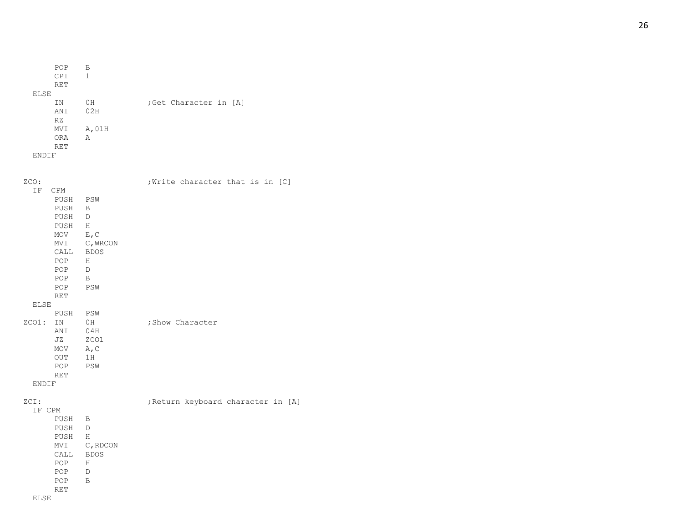```
POP
         B
   CPI
         1
   RET
 ELSE
         OH ;Get Character in [A]
   ANI 02H
   RZ
   MVI A,01H
   ORA
         A
   RET
 ENDIF
```

| ZCO:                          |                                                                                                                 |                                                              | ; Write character that is in [C]   |  |  |
|-------------------------------|-----------------------------------------------------------------------------------------------------------------|--------------------------------------------------------------|------------------------------------|--|--|
| ΙF                            | CPM<br>PUSH<br>PUSH<br>PUSH<br>PUSH<br><b>MOV</b><br>MVI<br>CALL BDOS<br>POP<br>POP<br>POP<br>POP<br><b>RET</b> | PSW<br>B<br>D<br>H<br>E, C<br>C, WRCON<br>H<br>D<br>B<br>PSW |                                    |  |  |
| ELSE                          |                                                                                                                 |                                                              |                                    |  |  |
| $ZCO1$ :<br>ENDIF             | PUSH<br>IN<br>ANI<br>JZ<br>MOV<br><b>OUT</b><br>POP<br><b>RET</b>                                               | PSW<br>0H<br>04H<br>ZCO1<br>A, C<br>1H<br>PSW                | ; Show Character                   |  |  |
| ZCI:<br>IF CPM<br><b>ELSE</b> | PUSH<br>PUSH<br>PUSH<br>MVI<br>CALL<br>POP<br>POP<br>POP<br><b>RET</b>                                          | B<br>D<br>H<br>C, RDCON<br><b>BDOS</b><br>H<br>D<br>B        | ; Return keyboard character in [A] |  |  |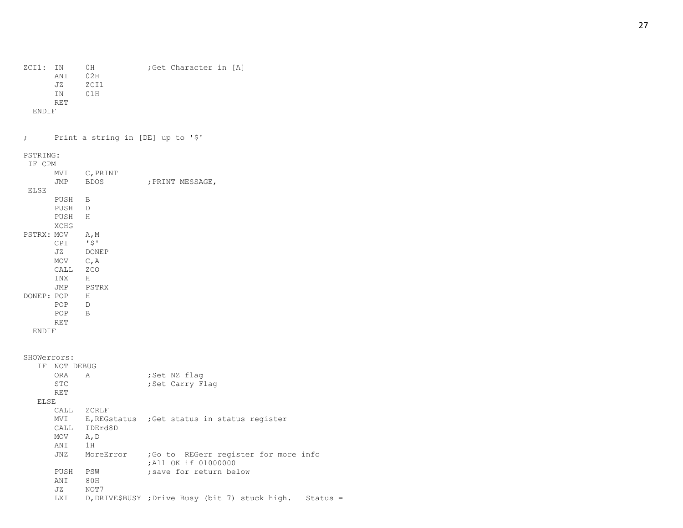ZCI1: IN 0H ; Get Character in [A]

ANI 02H JZ ZCI1

IN 01H

RET

ENDIF

; Print a string in [DE] up to '\$'

PSTRING:

| IF CPM       |              |             |                  |  |
|--------------|--------------|-------------|------------------|--|
|              | MVI          | C, PRINT    |                  |  |
|              | JMP          | <b>BDOS</b> | ; PRINT MESSAGE, |  |
| <b>ELSE</b>  |              |             |                  |  |
|              | PUSH B       |             |                  |  |
|              | PUSH D       |             |                  |  |
|              | PUSH H       |             |                  |  |
|              | <b>XCHG</b>  |             |                  |  |
| PSTRX: MOV   |              | A, M        |                  |  |
|              | CPI          | 151         |                  |  |
|              |              | JZ DONEP    |                  |  |
|              | MOV $C, A$   |             |                  |  |
|              | CALL ZCO     |             |                  |  |
|              | INX          | H           |                  |  |
|              |              | JMP PSTRX   |                  |  |
|              | DONEP: POP   | H           |                  |  |
|              | POP D        |             |                  |  |
|              | POP          | B           |                  |  |
|              | RET          |             |                  |  |
| <b>ENDIF</b> |              |             |                  |  |
|              |              |             |                  |  |
|              |              |             |                  |  |
| SHOWerrors:  |              |             |                  |  |
|              | IF NOT DEBUG |             |                  |  |
|              | ORA          | A           | ;Set NZ flag     |  |
|              | <b>STC</b>   |             | ;Set Carry Flaq  |  |
|              | <b>RET</b>   |             |                  |  |

### $\mathop{\rm E}\nolimits$

| LSE         |           |                                                             |
|-------------|-----------|-------------------------------------------------------------|
| <b>CALL</b> | ZCRLF     |                                                             |
| MVI         |           | E, REGstatus ; Get status in status register                |
| <b>CALL</b> | IDErd8D   |                                                             |
| MOV         | A, D      |                                                             |
| ANI         | 1H        |                                                             |
| JNZ         | MoreError | Go to REGerr register for more info;<br>All OK if 01000000; |
| PUSH        | PSW       | save for return below:                                      |
| ANI         | 80H       |                                                             |
| JZ.         | NOT7      |                                                             |
| LXI         |           | D, DRIVE\$BUSY ; Drive Busy (bit 7) stuck high.<br>Status   |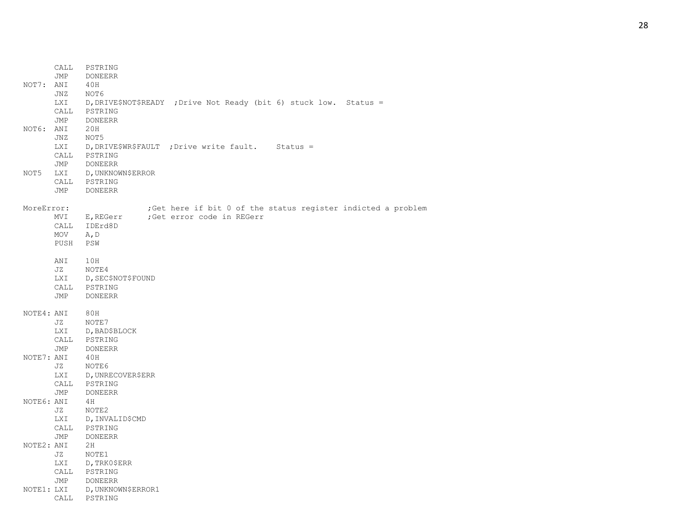| NOT7:      | CALL<br>JMP<br>ANI<br>JNZ | PSTRING<br>DONEERR<br>40H<br>NOT6            |                                                                    |  |
|------------|---------------------------|----------------------------------------------|--------------------------------------------------------------------|--|
| NOT6: ANI  | LXI<br>CALL<br>JMP        | PSTRING<br><b>DONEERR</b><br>20H             | D, DRIVE\$NOT\$READY ; Drive Not Ready (bit 6) stuck low. Status = |  |
|            | JNZ<br>LXI<br>CALL<br>JMP | NOT5<br>PSTRING<br>DONEERR                   | D, DRIVE\$WR\$FAULT ; Drive write fault. Status =                  |  |
| NOT5       | LXI<br>JMP                | D, UNKNOWN\$ERROR<br>CALL PSTRING<br>DONEERR |                                                                    |  |
| MoreError: |                           |                                              | ; Get here if bit 0 of the status register indicted a problem      |  |
|            | MVI<br>CALL               | E,REGerr<br>IDErd8D                          | ;Get error code in REGerr                                          |  |
|            | MOV                       | A, D                                         |                                                                    |  |
|            | PUSH                      | PSW                                          |                                                                    |  |
|            | ANI                       | 10H                                          |                                                                    |  |
|            | JZ                        | NOTE4                                        |                                                                    |  |
|            | LXI                       | D, SEC\$NOT\$FOUND<br>CALL PSTRING           |                                                                    |  |
|            | JMP                       | DONEERR                                      |                                                                    |  |
| NOTE4: ANI |                           | 80H                                          |                                                                    |  |
|            | JZ                        | NOTE7                                        |                                                                    |  |
|            | LXI                       | D, BAD\$BLOCK                                |                                                                    |  |
|            | JMP                       | CALL PSTRING<br>DONEERR                      |                                                                    |  |
| NOTE7: ANI |                           | 40H                                          |                                                                    |  |
|            | JZ                        | NOTE6                                        |                                                                    |  |
|            | LXI                       | D, UNRECOVER\$ERR                            |                                                                    |  |
|            |                           | CALL PSTRING                                 |                                                                    |  |
|            | JMP                       | DONEERR                                      |                                                                    |  |
| NOTE6: ANI |                           | 4 H                                          |                                                                    |  |
|            | JZ<br>LXI                 | NOTE2<br>D, INVALIDȘCMD                      |                                                                    |  |
|            | CALL                      | PSTRING                                      |                                                                    |  |
|            | JMP                       | DONEERR                                      |                                                                    |  |
| NOTE2: ANI |                           | 2H                                           |                                                                    |  |
|            | JZ                        | NOTE1                                        |                                                                    |  |
|            | LXI                       | D,TRK0\$ERR                                  |                                                                    |  |
|            |                           | CALL PSTRING                                 |                                                                    |  |
| NOTE1: LXI | JMP                       | DONEERR<br>D, UNKNOWN\$ERROR1                |                                                                    |  |
|            | CALL                      | PSTRING                                      |                                                                    |  |
|            |                           |                                              |                                                                    |  |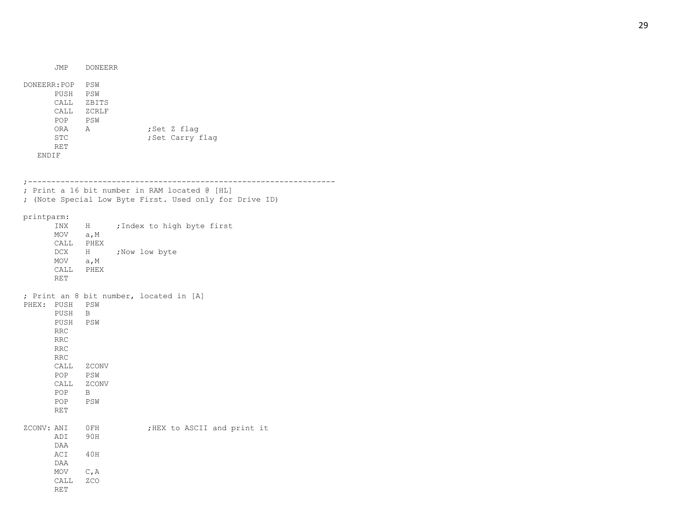JMP DONEERR DONEERR:POP PSW PUSH PSW CALL ZBITS CALL ZCRLF POP PSW ORA A ;Set Z flag STC ; Set Carry flag RET ENDIF ;------------------------------------------------------------------ ; Print a 16 bit number in RAM located @ [HL] ; (Note Special Low Byte First. Used only for Drive ID) printparm: INX H ; Index to high byte first MOV a, M CALL PHEX DCX H ; Now low byte MOV a, M CALL PHEX RET ; Print an 8 bit number, located in [A] PHEX: PUSH PSW PUSH B PUSH PSW RRC RRC RRC RRC CALL ZCONV POP PSW CALL ZCONV POP B POP PSW RET ZCONV: ANI 0FH ;HEX to ASCII and print it ADI 90H DAA ACI 40H DAA  $MOV$   $C, A$ CALL ZCO RET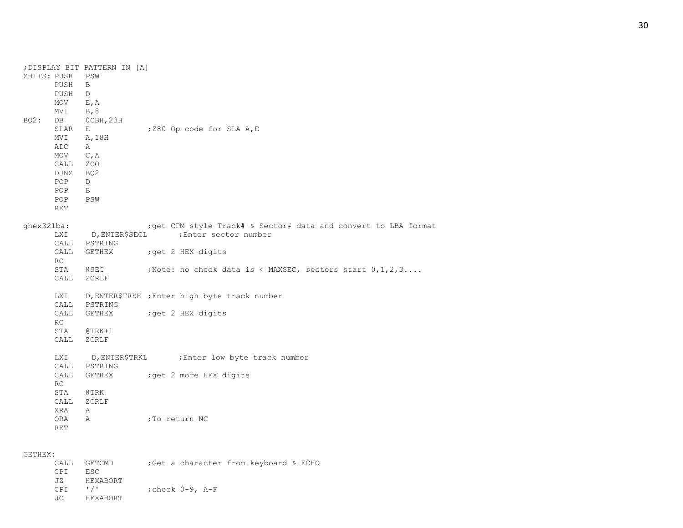| ZBITS: PUSH | PUSH<br>PUSH<br>MOV<br>MVI                                                                | ; DISPLAY BIT PATTERN IN [A]<br>PSW<br>B<br>D<br>$E$ , A<br>B, 8     |                                                                     |
|-------------|-------------------------------------------------------------------------------------------|----------------------------------------------------------------------|---------------------------------------------------------------------|
| BQ2:        | DB<br>SLAR<br>MVI<br><b>ADC</b><br>MOV<br>CALL<br>DJNZ<br>POP<br>POP<br>POP<br><b>RET</b> | OCBH, 23H<br>Е<br>A, 18H<br>A<br>C, A<br>ZCO<br>BQ2<br>D<br>B<br>PSW | ; Z80 Op code for SLA A, E                                          |
| ghex32lba:  |                                                                                           |                                                                      | ; get CPM style Track# & Sector# data and convert to LBA format     |
|             | LXI                                                                                       |                                                                      | D, ENTER\$SECL ; Enter sector number                                |
|             |                                                                                           | CALL PSTRING                                                         |                                                                     |
|             | CALL                                                                                      |                                                                      | GETHEX ; get 2 HEX digits                                           |
|             | RC                                                                                        |                                                                      |                                                                     |
|             | STA                                                                                       | @SEC                                                                 | ;Note: no check data is < MAXSEC, sectors start $0, 1, 2, 3 \ldots$ |
|             | CALL                                                                                      | ZCRLF                                                                |                                                                     |
|             | LXI                                                                                       | CALL PSTRING                                                         | D, ENTER\$TRKH ; Enter high byte track number                       |
|             | CALL                                                                                      |                                                                      | GETHEX ; get 2 HEX digits                                           |
|             | RC                                                                                        |                                                                      |                                                                     |
|             | STA                                                                                       | $@{\rm TRK+1}$                                                       |                                                                     |
|             | CALL                                                                                      | ZCRLF                                                                |                                                                     |
|             | LXI                                                                                       |                                                                      | D, ENTER\$TRKL ; Enter low byte track number                        |
|             | CALL                                                                                      | PSTRING                                                              |                                                                     |
|             | CALL                                                                                      |                                                                      | GETHEX : get 2 more HEX digits                                      |
|             | RC                                                                                        |                                                                      |                                                                     |
|             | STA                                                                                       | <b>@TRK</b>                                                          |                                                                     |
|             | CALL                                                                                      | ZCRLF                                                                |                                                                     |
|             | XRA                                                                                       | Α                                                                    |                                                                     |
|             | ORA                                                                                       | Α                                                                    | ;To return NC                                                       |
|             | <b>RET</b>                                                                                |                                                                      |                                                                     |
|             |                                                                                           |                                                                      |                                                                     |

## GETHEX:

|             | CALL GETCMD | ; Get a character from keyboard & ECHO |  |  |
|-------------|-------------|----------------------------------------|--|--|
| CPT ESC     |             |                                        |  |  |
| JZ          | HEXABORT    |                                        |  |  |
| $CPT$ $1/T$ |             | :check 0-9, A-F                        |  |  |
| JC          | HEXABORT    |                                        |  |  |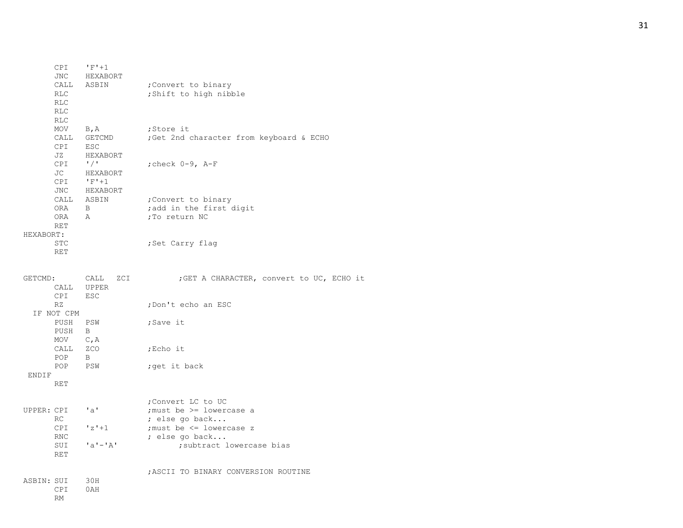| CPI<br>JNC<br>CALL<br><b>RLC</b><br><b>RLC</b><br><b>RLC</b><br><b>RLC</b> | $'F' + 1$<br>HEXABORT<br>ASBIN                                                      | ; Convert to binary<br>; Shift to high nibble                                                                                                |
|----------------------------------------------------------------------------|-------------------------------------------------------------------------------------|----------------------------------------------------------------------------------------------------------------------------------------------|
| MOV<br>CALL<br><b>CPI</b><br>JZ<br><b>CPI</b><br>JC<br>CPI                 | $B$ , $A$<br>GETCMD<br><b>ESC</b><br>HEXABORT<br>$\frac{1}{2}$<br>HEXABORT<br>$F+1$ | ;Store it<br>;Get 2nd character from keyboard & ECHO<br>; check $0-9$ , $A-F$                                                                |
| JNC<br>CALL<br>0RA<br>0RA<br><b>RET</b>                                    | HEXABORT<br>ASBIN<br>B<br>$\mathsf{A}$                                              | ; Convert to binary<br>; add in the first digit<br>; To return NC                                                                            |
| HEXABORT:<br><b>STC</b><br><b>RET</b>                                      |                                                                                     | ;Set Carry flaq                                                                                                                              |
| GETCMD:<br>CALL<br><b>CPI</b>                                              | CALL<br>ZCI<br><b>UPPER</b><br>ESC                                                  | ; GET A CHARACTER, convert to UC, ECHO it                                                                                                    |
| RZ<br>IF NOT CPM<br>PUSH<br>PUSH<br>MOV<br>CALL<br>POP<br>POP.             | PSW<br>B<br>C, A<br>ZCO<br>B<br>PSW                                                 | ; Don't echo an ESC<br>;Save it<br>;Echo it<br>;get it back                                                                                  |
| ENDIF<br><b>RET</b>                                                        |                                                                                     |                                                                                                                                              |
| UPPER: CPI<br>RC<br><b>CPI</b><br>RNC<br>SUI<br><b>RET</b>                 | $^{\prime}$ a $^{\prime}$<br>$'z'+1$<br>$'a' - 'A'$                                 | ; Convert LC to UC<br>; must be > = lowercase a<br>; else go back<br>; must be <= lowercase z<br>; else go back<br>; subtract lowercase bias |
| ASBIN: SUI<br>CPI<br>RM                                                    | 30H<br>0AH                                                                          | ; ASCII TO BINARY CONVERSION ROUTINE                                                                                                         |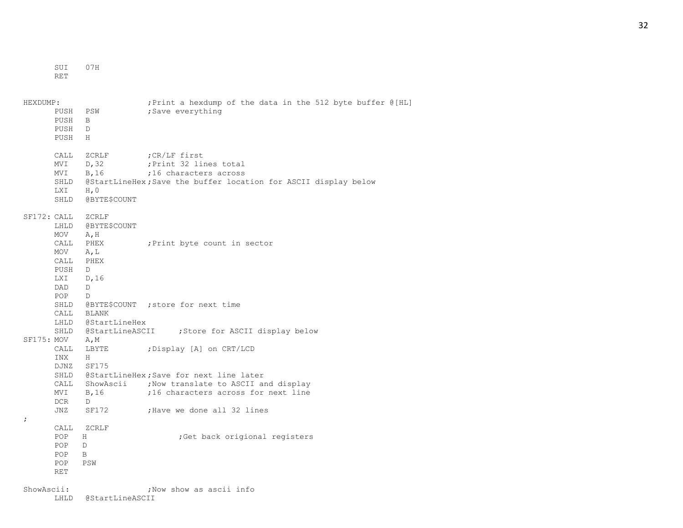SUI 07H

RET

| HEXDUMP:<br>PUSH<br>PUSH<br>PUSH<br>PUSH                                | PSW<br>B<br>D<br>H                                                       | ; Print a hexdump of the data in the 512 byte buffer @ [HL]<br>;Save everything                                                                                                                  |
|-------------------------------------------------------------------------|--------------------------------------------------------------------------|--------------------------------------------------------------------------------------------------------------------------------------------------------------------------------------------------|
| CALL<br>MVI<br>MVI<br>SHLD<br>LXI<br>SHLD                               | ZCRLF<br>D, 32<br>B, 16<br>H, 0<br>@BYTE\$COUNT                          | CR/LF first;<br>; Print 32 lines total<br>;16 characters across<br>@StartLineHex; Save the buffer location for ASCII display below                                                               |
| SF172: CALL<br>LHLD<br>MOV<br>CALL<br>MOV<br>CALL<br>PUSH<br>LXI<br>DAD | ZCRLF<br>@BYTE\$COUNT<br>A, H<br>PHEX<br>A, L<br>PHEX<br>D<br>D, 16<br>D | ; Print byte count in sector                                                                                                                                                                     |
| POP<br>SHLD<br>CALL                                                     | D<br>BLANK<br>LHLD @StartLineHex                                         | @BYTE\$COUNT ; store for next time<br>SHLD @StartLineASCII ;Store for ASCII display below                                                                                                        |
| SF175: MOV<br>CALL<br>INX<br>CALL<br>MVI<br>DCR<br>JNZ                  | A, M<br>LBYTE<br>H<br>DJNZ SF175<br>B, 16<br>D<br>SF172                  | ; Display [A] on CRT/LCD<br>SHLD @StartLineHex; Save for next line later<br>ShowAscii : Now translate to ASCII and display<br>;16 characters across for next line<br>; Have we done all 32 lines |
| $\ddot{ }$<br>CALL<br>POP<br>POP<br>POP.<br><b>POP</b><br><b>RET</b>    | ZCRLF<br>H<br>D<br>B<br>PSW                                              | ;Get back origional registers                                                                                                                                                                    |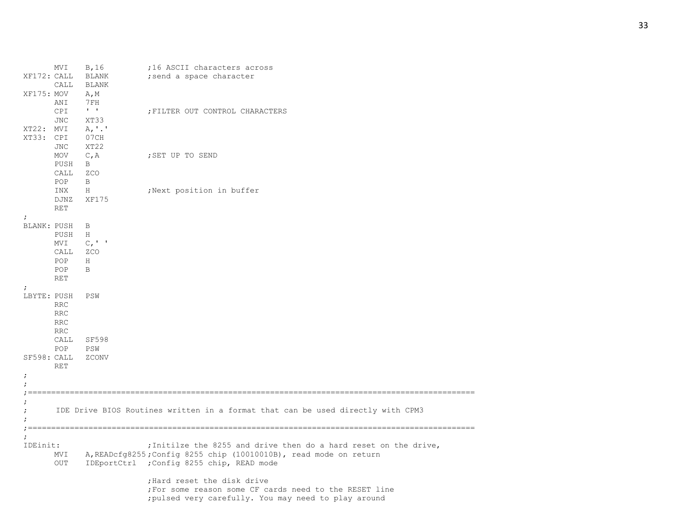|                           | MVI               | B, 16<br>XF172: CALL BLANK<br>CALL BLANK    | ;16 ASCII characters across<br>; send a space character                               |
|---------------------------|-------------------|---------------------------------------------|---------------------------------------------------------------------------------------|
| XF175: MOV                |                   | A, M                                        |                                                                                       |
|                           | ANI               | $7\,\mathrm{FH}$<br>$\mathbf{I}=\mathbf{I}$ |                                                                                       |
|                           | CPI<br><b>JNC</b> | XT33                                        | ; FILTER OUT CONTROL CHARACTERS                                                       |
| XT22: MVI                 |                   | A, '.'                                      |                                                                                       |
| XT33: CPI                 |                   | 07CH                                        |                                                                                       |
|                           | <b>JNC</b>        | XT22                                        |                                                                                       |
|                           | MOV               | C, A                                        | ; SET UP TO SEND                                                                      |
|                           | PUSH              | $\mathbf{B}$                                |                                                                                       |
|                           | CALL              | ZCO                                         |                                                                                       |
|                           | POP               | $\mathbf{B}$                                |                                                                                       |
|                           | INX               | H                                           | ;Next position in buffer                                                              |
|                           | DJNZ              | XF175                                       |                                                                                       |
|                           | RET               |                                             |                                                                                       |
| $\ddot{ }$                |                   |                                             |                                                                                       |
| BLANK: PUSH               |                   | $\overline{B}$                              |                                                                                       |
|                           | PUSH              | H                                           |                                                                                       |
|                           | MVI               | $C_{I}$ '                                   |                                                                                       |
|                           | CALL              | ZCO                                         |                                                                                       |
|                           | POP               | H                                           |                                                                                       |
|                           | POP               | B                                           |                                                                                       |
|                           | <b>RET</b>        |                                             |                                                                                       |
| $\ddot{ }$<br>LBYTE: PUSH |                   |                                             |                                                                                       |
|                           | <b>RRC</b>        | PSW                                         |                                                                                       |
|                           | <b>RRC</b>        |                                             |                                                                                       |
|                           | <b>RRC</b>        |                                             |                                                                                       |
|                           | <b>RRC</b>        |                                             |                                                                                       |
|                           | CALL              | SF598                                       |                                                                                       |
|                           | POP               | PSW                                         |                                                                                       |
| SF598: CALL               |                   | ZCONV                                       |                                                                                       |
|                           | <b>RET</b>        |                                             |                                                                                       |
| $\ddot{ }$                |                   |                                             |                                                                                       |
|                           |                   |                                             |                                                                                       |
|                           |                   |                                             |                                                                                       |
|                           |                   |                                             |                                                                                       |
|                           |                   |                                             | IDE Drive BIOS Routines written in a format that can be used directly with CPM3       |
|                           |                   |                                             |                                                                                       |
|                           |                   |                                             |                                                                                       |
|                           |                   |                                             |                                                                                       |
| IDEinit:                  |                   |                                             | ; Initilze the 8255 and drive then do a hard reset on the drive,                      |
|                           |                   |                                             | MVI A, READcfg8255; Config 8255 chip (10010010B), read mode on return                 |
|                           | OUT               |                                             | IDEportCtrl ;Config 8255 chip, READ mode                                              |
|                           |                   |                                             |                                                                                       |
|                           |                   |                                             | ; Hard reset the disk drive<br>; For some reason some CF cards need to the RESET line |
|                           |                   |                                             |                                                                                       |

# ;pulsed very carefully. You may need to play around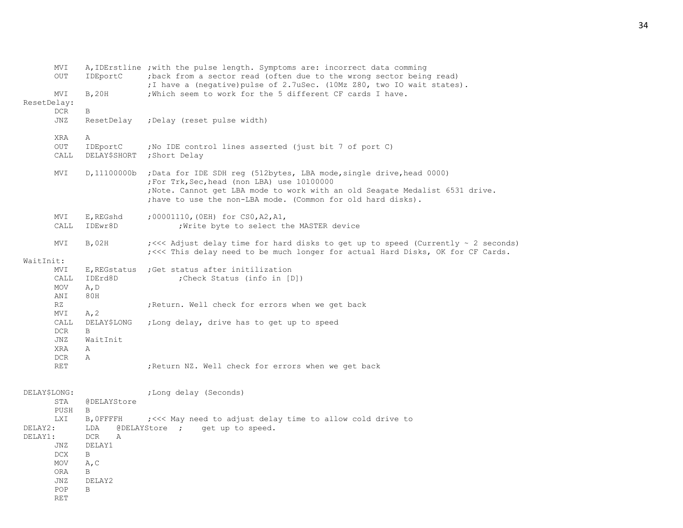|              | MVI<br>OUT         | IDEportC                        | A, IDErstline ; with the pulse length. Symptoms are: incorrect data comming<br>; back from a sector read (often due to the wrong sector being read)<br>; I have a (negative) pulse of 2.7uSec. (10Mz Z80, two IO wait states).                                     |
|--------------|--------------------|---------------------------------|--------------------------------------------------------------------------------------------------------------------------------------------------------------------------------------------------------------------------------------------------------------------|
| ResetDelay:  | MVI                | B, 20H                          | ; Which seem to work for the 5 different CF cards I have.                                                                                                                                                                                                          |
|              | <b>DCR</b>         | В                               |                                                                                                                                                                                                                                                                    |
|              | JNZ                | ResetDelay                      | ; Delay (reset pulse width)                                                                                                                                                                                                                                        |
|              | XRA                | Α                               |                                                                                                                                                                                                                                                                    |
|              | <b>OUT</b><br>CALL | IDEportC<br><b>DELAY\$SHORT</b> | ; No IDE control lines asserted (just bit 7 of port C)<br>;Short Delay                                                                                                                                                                                             |
|              | MVI                | D, 11100000b                    | ; Data for IDE SDH req (512bytes, LBA mode, single drive, head 0000)<br>;For Trk, Sec, head (non LBA) use 10100000<br>; Note. Cannot get LBA mode to work with an old Seagate Medalist 6531 drive.<br>; have to use the non-LBA mode. (Common for old hard disks). |
|              | <b>NVI</b><br>CALL | E,REGshd<br>IDEwr8D             | ;00001110, (OEH) for CSO, A2, A1,<br>; Write byte to select the MASTER device                                                                                                                                                                                      |
|              | MVI                | B,02H                           | $\frac{1}{5}$ <<<< Adjust delay time for hard disks to get up to speed (Currently $\sim$ 2 seconds)<br>; <<< This delay need to be much longer for actual Hard Disks, OK for CF Cards.                                                                             |
| WaitInit:    |                    |                                 |                                                                                                                                                                                                                                                                    |
|              | MVI                | E, REGstatus                    | ; Get status after initilization                                                                                                                                                                                                                                   |
|              | CALL<br>MOV        | IDErd8D<br>A, D                 | ; Check Status (info in [D])                                                                                                                                                                                                                                       |
|              | ANI                | 80H                             |                                                                                                                                                                                                                                                                    |
|              | RZ                 |                                 | ; Return. Well check for errors when we get back                                                                                                                                                                                                                   |
|              | MVI                | A, 2                            |                                                                                                                                                                                                                                                                    |
|              | CALL               | <b>DELAY\$LONG</b>              | ;Long delay, drive has to get up to speed                                                                                                                                                                                                                          |
|              | <b>DCR</b>         | B                               |                                                                                                                                                                                                                                                                    |
|              | JNZ                | WaitInit                        |                                                                                                                                                                                                                                                                    |
|              | XRA<br>DCR         | Α<br>$\mathbb{A}$               |                                                                                                                                                                                                                                                                    |
|              | RET                |                                 | ; Return NZ. Well check for errors when we get back                                                                                                                                                                                                                |
| DELAY\$LONG: |                    |                                 | ;Long delay (Seconds)                                                                                                                                                                                                                                              |
|              | STA<br>PUSH        | @DELAYStore<br>B                |                                                                                                                                                                                                                                                                    |
|              | <b>LXI</b>         | B, OFFFFH                       | ; <<< May need to adjust delay time to allow cold drive to                                                                                                                                                                                                         |
| DELAY2:      |                    | LDA                             | @DELAYStore ; get up to speed.                                                                                                                                                                                                                                     |
| DELAY1:      |                    | <b>DCR</b><br>Α                 |                                                                                                                                                                                                                                                                    |
|              | JNZ                | DELAY1                          |                                                                                                                                                                                                                                                                    |
|              | <b>DCX</b>         | B                               |                                                                                                                                                                                                                                                                    |
|              | MOV                | A, C                            |                                                                                                                                                                                                                                                                    |
|              | <b>ORA</b><br>JNZ  | B<br>DELAY2                     |                                                                                                                                                                                                                                                                    |
|              | POP                | B                               |                                                                                                                                                                                                                                                                    |
|              | <b>RET</b>         |                                 |                                                                                                                                                                                                                                                                    |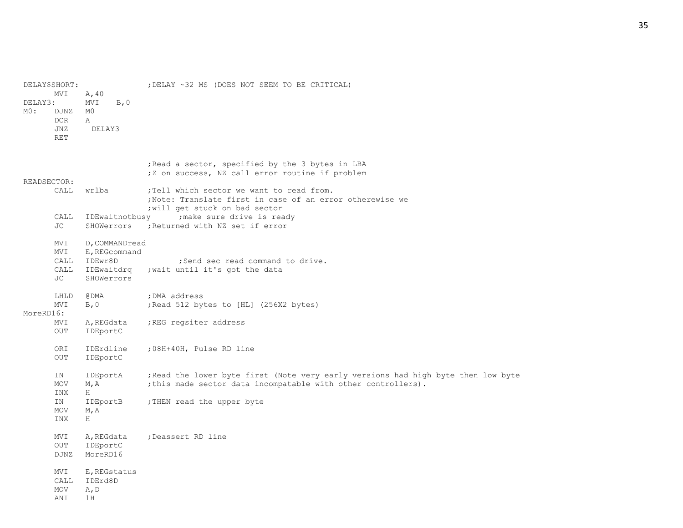| DELAY3:<br>MO: | DELAY\$SHORT:<br>MVI<br>DJNZ<br><b>DCR</b><br>JNZ<br><b>RET</b> | A, 40<br>B, 0<br>MVI<br>M0<br>А<br>DELAY3                              | ; DELAY ~32 MS (DOES NOT SEEM TO BE CRITICAL)                                                                                                                                                                                                                                                                  |
|----------------|-----------------------------------------------------------------|------------------------------------------------------------------------|----------------------------------------------------------------------------------------------------------------------------------------------------------------------------------------------------------------------------------------------------------------------------------------------------------------|
| READSECTOR:    | CALL<br>CALL<br>JC                                              | wrlba<br>IDEwaitnotbusy<br>SHOWerrors                                  | Read a sector, specified by the 3 bytes in LBA<br>;Z on success, NZ call error routine if problem<br>; Tell which sector we want to read from.<br>; Note: Translate first in case of an error otherewise we<br>; will get stuck on bad sector<br>; make sure drive is ready<br>; Returned with NZ set if error |
|                | MVI<br>MVI<br>CALL<br>CALL<br>JC                                | D, COMMANDread<br>E, REGcommand<br>IDEwr8D<br>IDEwaitdrq<br>SHOWerrors | ; Send sec read command to drive.<br>; wait until it's got the data                                                                                                                                                                                                                                            |
| MoreRD16:      | LHLD<br>MVI<br>MVI<br>OUT                                       | @ DMA<br>B, 0<br>A, REGdata<br>IDEportC                                | ; DMA address<br>Read 512 bytes to [HL] (256X2 bytes);<br>; REG regsiter address                                                                                                                                                                                                                               |
|                | ORI<br>OUT                                                      | IDErdline<br>IDEportC                                                  | ;08H+40H, Pulse RD line                                                                                                                                                                                                                                                                                        |
|                | ΙN<br>MOV<br>INX<br>IN<br>MOV<br>INX                            | IDEportA<br>M, A<br>H<br>IDEportB<br>M, A<br>H.                        | ; Read the lower byte first (Note very early versions had high byte then low byte<br>; this made sector data incompatable with other controllers).<br>; THEN read the upper byte                                                                                                                               |
|                | MVI<br>OUT<br><b>DJNZ</b>                                       | A, REGdata<br>IDEportC<br>MoreRD16                                     | ; Deassert RD line                                                                                                                                                                                                                                                                                             |
|                | MVI<br>CALL<br>MOV<br>ANI                                       | E, REGstatus<br>IDErd8D<br>A, D<br>1H                                  |                                                                                                                                                                                                                                                                                                                |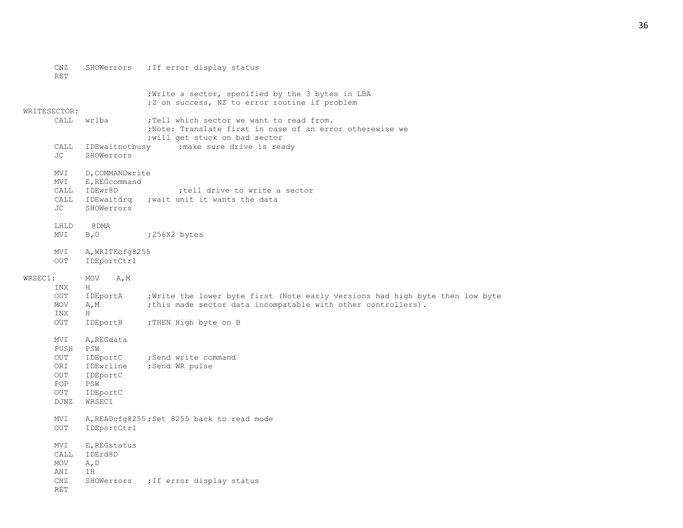|              | CNZ<br><b>RET</b> | SHOWerrors                     | ; If error display status                                                                                                                |
|--------------|-------------------|--------------------------------|------------------------------------------------------------------------------------------------------------------------------------------|
|              |                   |                                | Write a sector, specified by the 3 bytes in LBA<br>;Z on success, NZ to error routine if problem                                         |
| WRITESECTOR: |                   |                                |                                                                                                                                          |
|              | CALL              | wrlba                          | ; Tell which sector we want to read from.<br>; Note: Translate first in case of an error otherewise we<br>; will get stuck on bad sector |
|              | CALL<br>JC        | IDEwaitnotbusy<br>SHOWerrors   | ; make sure drive is ready                                                                                                               |
|              | MVI               | D, COMMANDwrite                |                                                                                                                                          |
|              | MVI               | E, REGcommand                  |                                                                                                                                          |
|              | CALL              | IDEwr8D                        | tell drive to write a sector                                                                                                             |
|              | CALL              | IDEwaitdrg                     | ; wait unit it wants the data                                                                                                            |
|              | JC                | SHOWerrors                     |                                                                                                                                          |
|              | LHLD              | @DMA                           |                                                                                                                                          |
|              | MVI               | B, 0                           | ;256X2 bytes                                                                                                                             |
|              | MVI<br>OUT        | A, WRITEcfg8255<br>IDEportCtrl |                                                                                                                                          |
|              |                   |                                |                                                                                                                                          |
| WRSEC1:      |                   | MOV<br>A, M                    |                                                                                                                                          |
|              | INX               | H                              |                                                                                                                                          |
|              | OUT               | IDEportA                       | ; Write the lower byte first (Note early versions had high byte then low byte                                                            |
|              | MOV               | A, M                           | ; this made sector data incompatable with other controllers).                                                                            |
|              | INX               | H                              |                                                                                                                                          |
|              | OUT               | IDEportB                       | ; THEN High byte on B                                                                                                                    |
|              | MVI               | A, REGdata                     |                                                                                                                                          |
|              | PUSH              | PSW                            |                                                                                                                                          |
|              | OUT               | IDEportC                       | ; Send write command                                                                                                                     |
|              | ORI               | IDEwrline                      | ;Send WR pulse                                                                                                                           |
|              | OUT               | IDEportC                       |                                                                                                                                          |
|              | POP               | PSW                            |                                                                                                                                          |
|              | OUT               | IDEportC                       |                                                                                                                                          |
|              | DJNZ              | WRSEC1                         |                                                                                                                                          |
|              | MVI               |                                | A, READcfg8255; Set 8255 back to read mode                                                                                               |
|              | OUT               | IDEportCtrl                    |                                                                                                                                          |
|              | MVI               | E, REGstatus                   |                                                                                                                                          |
|              | CALL              | IDErd8D                        |                                                                                                                                          |
|              | MOV               | A, D                           |                                                                                                                                          |
|              | ANI               | 1H                             |                                                                                                                                          |
|              | CNZ               | SHOWerrors                     | ; If error display status                                                                                                                |
|              | <b>RET</b>        |                                |                                                                                                                                          |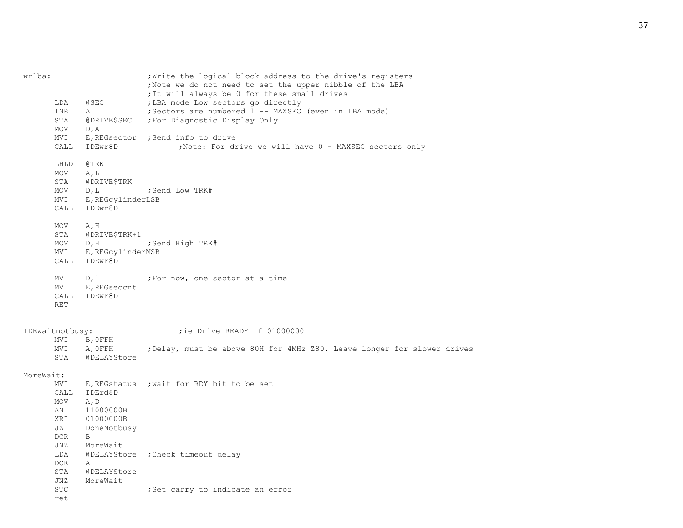| wrlba:    | LDA<br>INR                                           | <b>@SEC</b><br>Α                                                          | ; Write the logical block address to the drive's registers<br>; Note we do not need to set the upper nibble of the LBA<br>; It will always be 0 for these small drives<br>; LBA mode Low sectors go directly<br>; Sectors are numbered 1 -- MAXSEC (even in LBA mode) |
|-----------|------------------------------------------------------|---------------------------------------------------------------------------|-----------------------------------------------------------------------------------------------------------------------------------------------------------------------------------------------------------------------------------------------------------------------|
|           | STA<br>MOV                                           | @DRIVE\$SEC<br>D, A                                                       | ; For Diagnostic Display Only                                                                                                                                                                                                                                         |
|           | MVI<br>CALL                                          | IDEwr8D                                                                   | E, REGsector ; Send info to drive<br>; Note: For drive we will have 0 - MAXSEC sectors only                                                                                                                                                                           |
|           | LHLD<br>MOV<br>STA<br>MOV<br>MVI<br>CALL             | @TRK<br>A, L<br>@DRIVE\$TRK<br>$D$ , $L$<br>E, REGcylinderLSB<br>IDEwr8D  | ;Send Low TRK#                                                                                                                                                                                                                                                        |
|           | MOV<br>STA<br>MOV<br>MVI<br>CALL                     | A, H<br>@DRIVE\$TRK+1<br>D, H<br>E, REGcylinderMSB<br>IDEwr8D             | ;Send High TRK#                                                                                                                                                                                                                                                       |
|           | MVI<br>MVI<br>CALL<br>$\operatorname{RET}$           | D, 1<br>E, REGseccnt<br>IDEwr8D                                           | ;For now, one sector at a time                                                                                                                                                                                                                                        |
|           | IDEwaitnotbusy:<br>MVI                               | B, OFFH                                                                   | ; ie Drive READY if 01000000                                                                                                                                                                                                                                          |
|           | MVI<br>STA                                           | A, OFFH<br><b>@DELAYStore</b>                                             | ; Delay, must be above 80H for 4MHz Z80. Leave longer for slower drives                                                                                                                                                                                               |
| MoreWait: |                                                      |                                                                           |                                                                                                                                                                                                                                                                       |
|           | MVI<br>CALL<br>MOV<br>ANI<br>XRI<br>JZ<br>DCR<br>JNZ | IDErd8D<br>A, D<br>11000000B<br>01000000B<br>DoneNotbusy<br>B<br>MoreWait | E, REGstatus ; wait for RDY bit to be set                                                                                                                                                                                                                             |
|           | LDA<br>DCR<br>STA<br>JNZ                             | $\mathbb A$<br><b>@DELAYStore</b><br>MoreWait                             | @DELAYStore ; Check timeout delay                                                                                                                                                                                                                                     |
|           | <b>STC</b><br>ret                                    |                                                                           | ; Set carry to indicate an error                                                                                                                                                                                                                                      |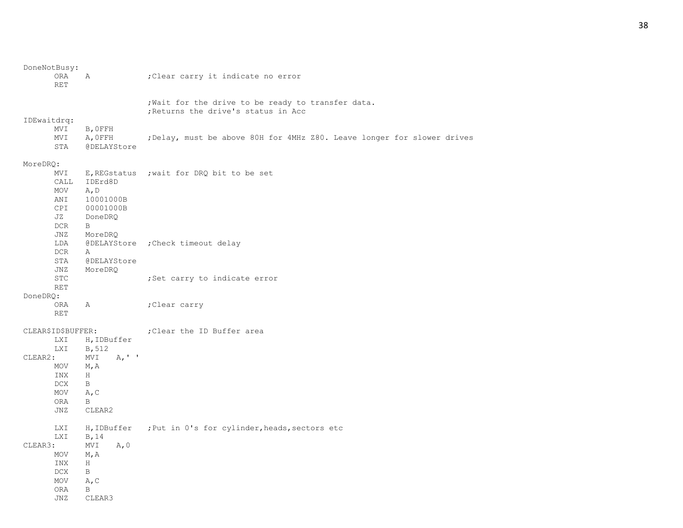| DoneNotBusy:             |                    |                                                                                           |
|--------------------------|--------------------|-------------------------------------------------------------------------------------------|
| <b>ORA</b><br><b>RET</b> | $\mathbb{A}$       | ; Clear carry it indicate no error                                                        |
|                          |                    | ; Wait for the drive to be ready to transfer data.<br>; Returns the drive's status in Acc |
| IDEwaitdrq:              |                    |                                                                                           |
| MVI                      | B, OFFH            |                                                                                           |
| MVI                      | A, OFFH            | ; Delay, must be above 80H for 4MHz Z80. Leave longer for slower drives                   |
| STA                      | <b>@DELAYStore</b> |                                                                                           |
| MoreDRQ:                 |                    |                                                                                           |
| MVI                      |                    | E, REGstatus ; wait for DRQ bit to be set                                                 |
| CALL                     | IDErd8D            |                                                                                           |
| MOV                      | A, D               |                                                                                           |
| ANI                      | 10001000B          |                                                                                           |
| <b>CPI</b>               | 00001000B          |                                                                                           |
| JZ                       | DoneDRQ            |                                                                                           |
| DCR                      | B                  |                                                                                           |
| JNZ                      | MoreDRQ            |                                                                                           |
| LDA                      |                    | @DELAYStore ; Check timeout delay                                                         |
| DCR                      | $\mathbb{A}$       |                                                                                           |
| STA                      | <b>@DELAYStore</b> |                                                                                           |
| JNZ                      | MoreDRQ            |                                                                                           |
| <b>STC</b>               |                    | ; Set carry to indicate error                                                             |
| <b>RET</b>               |                    |                                                                                           |
| DoneDRQ:                 |                    |                                                                                           |
| ORA                      | Α                  | ;Clear carry                                                                              |
| <b>RET</b>               |                    |                                                                                           |
| CLEAR\$ID\$BUFFER:       |                    | ; Clear the ID Buffer area                                                                |
| LXI                      | H, IDBuffer        |                                                                                           |
| <b>LXI</b>               | B, 512             |                                                                                           |
| CLEAR2:                  | A, ' '<br>MVI      |                                                                                           |
| MOV                      | M, A               |                                                                                           |
| INX                      | H                  |                                                                                           |
| <b>DCX</b>               | B                  |                                                                                           |
| MOV                      | A, C               |                                                                                           |
| ORA                      | B                  |                                                                                           |
| JNZ                      | CLEAR2             |                                                                                           |
| LXI                      |                    | H, IDBuffer ; Put in 0's for cylinder, heads, sectors etc                                 |
| <b>LXI</b>               | B, 14              |                                                                                           |
| CLEAR3:                  | MVI<br>A, 0        |                                                                                           |
| MOV                      | M, A               |                                                                                           |
| INX                      | H                  |                                                                                           |
| DCX.                     | B                  |                                                                                           |
| MOV                      | A, C               |                                                                                           |
| ORA                      | B                  |                                                                                           |
| <b>JNZ</b>               | CLEAR3             |                                                                                           |
|                          |                    |                                                                                           |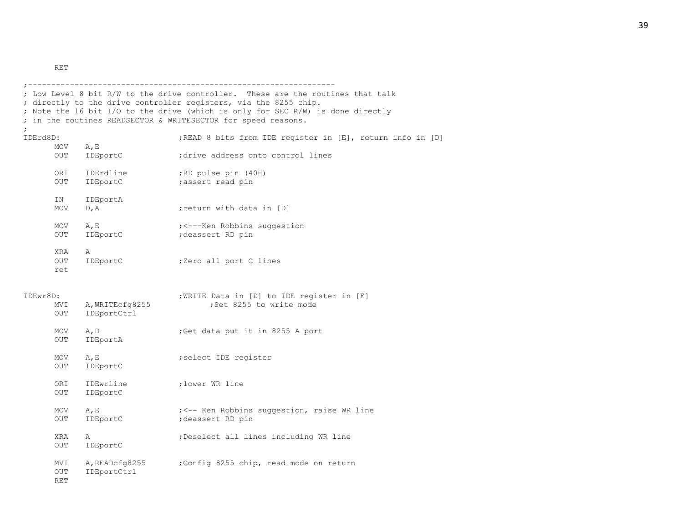RET

|                               |                                | ; Low Level 8 bit R/W to the drive controller. These are the routines that talk<br>; directly to the drive controller registers, via the 8255 chip.<br>; Note the 16 bit I/O to the drive (which is only for SEC R/W) is done directly<br>; in the routines READSECTOR & WRITESECTOR for speed reasons. |
|-------------------------------|--------------------------------|---------------------------------------------------------------------------------------------------------------------------------------------------------------------------------------------------------------------------------------------------------------------------------------------------------|
| IDErd8D:                      |                                | ; READ 8 bits from IDE register in [E], return info in [D]                                                                                                                                                                                                                                              |
| MOV<br><b>OUT</b>             | $A$ , E<br>IDEportC            | ; drive address onto control lines                                                                                                                                                                                                                                                                      |
| ORI<br>OUT                    | IDErdline<br>IDEportC          | ;RD pulse pin (40H)<br>;assert read pin                                                                                                                                                                                                                                                                 |
| IN<br>MOV                     | IDEportA<br>D, A               | return with data in [D]                                                                                                                                                                                                                                                                                 |
| MOV<br><b>OUT</b>             | A, E<br>IDEportC               | ; <---Ken Robbins suggestion<br>; deassert RD pin                                                                                                                                                                                                                                                       |
| XRA<br>OUT<br>ret             | Α<br>IDEportC                  | ;Zero all port C lines                                                                                                                                                                                                                                                                                  |
| IDEwr8D:<br>MVI<br><b>OUT</b> | A, WRITEcfg8255<br>IDEportCtrl | ; WRITE Data in [D] to IDE register in [E]<br>;Set 8255 to write mode                                                                                                                                                                                                                                   |
| MOV<br>OUT                    | A, D<br>IDEportA               | ;Get data put it in 8255 A port                                                                                                                                                                                                                                                                         |
| MOV<br>OUT                    | A, E<br>IDEportC               | ; select IDE register                                                                                                                                                                                                                                                                                   |
| ORI<br>OUT                    | IDEwrline<br>IDEportC          | ; lower WR line                                                                                                                                                                                                                                                                                         |
| MOV<br><b>OUT</b>             | A, E<br>IDEportC               | ; <-- Ken Robbins suggestion, raise WR line<br>; deassert RD pin                                                                                                                                                                                                                                        |
| XRA<br>OUT                    | Α<br>IDEportC                  | ; Deselect all lines including WR line                                                                                                                                                                                                                                                                  |
| MVI<br><b>OUT</b><br>RET      | A, READcfg8255<br>IDEportCtrl  | ;Config 8255 chip, read mode on return                                                                                                                                                                                                                                                                  |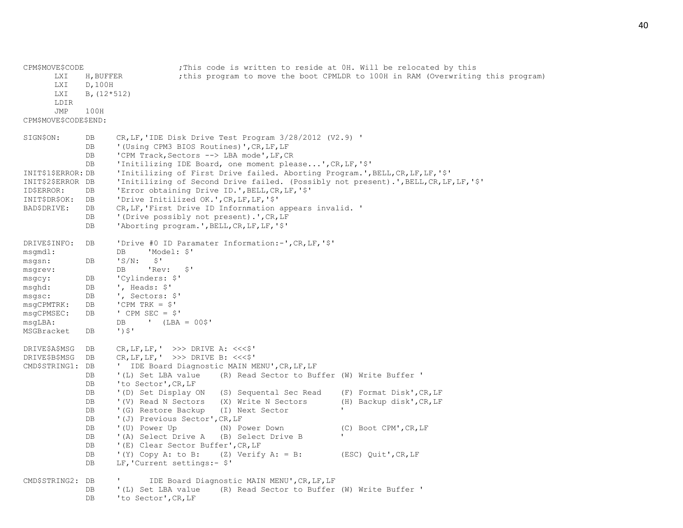| CPM\$MOVE\$CODE       |                                                | ; This code is written to reside at OH. Will be relocated by this                                |  |  |  |  |  |
|-----------------------|------------------------------------------------|--------------------------------------------------------------------------------------------------|--|--|--|--|--|
| <b>LXI</b>            | H, BUFFER                                      | ; this program to move the boot CPMLDR to 100H in RAM (Overwriting this program)                 |  |  |  |  |  |
| LXI                   | D, 100H                                        |                                                                                                  |  |  |  |  |  |
| <b>LXI</b>            |                                                | $B, (12*512)$                                                                                    |  |  |  |  |  |
| LDIR                  |                                                |                                                                                                  |  |  |  |  |  |
| <b>JMP</b>            | 100H                                           |                                                                                                  |  |  |  |  |  |
| CPM\$MOVE\$CODE\$END: |                                                |                                                                                                  |  |  |  |  |  |
| SIGN\$ON:             | DB                                             | $CR, LF, 'IDE Disk Drive Test Program 3/28/2012 (V2.9) '$                                        |  |  |  |  |  |
|                       | DB                                             | '(Using CPM3 BIOS Routines)', CR, LF, LF                                                         |  |  |  |  |  |
|                       | DB                                             | 'CPM Track, Sectors --> LBA mode', LF, CR                                                        |  |  |  |  |  |
|                       | DB                                             | 'Initilizing IDE Board, one moment please', CR, LF, '\$'                                         |  |  |  |  |  |
| INIT\$1\$ERROR: DB    |                                                | 'Initilizing of First Drive failed. Aborting Program.', BELL, CR, LF, LF, '\$'                   |  |  |  |  |  |
| INIT\$2\$ERROR DB     |                                                | 'Initilizing of Second Drive failed. (Possibly not present).', BELL, CR, LF, LF, '\$'            |  |  |  |  |  |
| ID\$ERROR:            | <b>DB</b>                                      | 'Error obtaining Drive ID.', BELL, CR, LF, '\$'                                                  |  |  |  |  |  |
| INIT\$DR\$OK:         | <b>DB</b>                                      | 'Drive Initilized OK.', CR, LF, LF, '\$'                                                         |  |  |  |  |  |
| BAD\$DRIVE:           | DB                                             | CR, LF, 'First Drive ID Infornmation appears invalid. '                                          |  |  |  |  |  |
|                       | DB                                             | '(Drive possibly not present).', CR, LF                                                          |  |  |  |  |  |
|                       | DB                                             | 'Aborting program.', BELL, CR, LF, LF, '\$'                                                      |  |  |  |  |  |
| DRIVE\$INFO:          | DB                                             | 'Drive #0 ID Paramater Information:-', CR, LF, '\$'                                              |  |  |  |  |  |
| msqmdl:               |                                                | 'Model: \$'<br>DB                                                                                |  |  |  |  |  |
| msgsn:                | <b>DB</b>                                      | $S^{\prime}$<br>$'S/N$ :                                                                         |  |  |  |  |  |
| msgrev:               |                                                | $S^{\prime}$<br>DB<br>'Rev:                                                                      |  |  |  |  |  |
| msgcy:                | DB                                             | 'Cylinders: \$'                                                                                  |  |  |  |  |  |
| msghd:                | ${\rm DB}$                                     | ', Heads: \$'                                                                                    |  |  |  |  |  |
| $m$ s $q$ s $c$ :     | DB                                             | ', Sectors: \$'                                                                                  |  |  |  |  |  |
| msgCPMTRK:            | DB                                             | 'CPM TRK = $$'$<br>' CPM SEC = $$'$                                                              |  |  |  |  |  |
| msgCPMSEC:            | DB                                             |                                                                                                  |  |  |  |  |  |
| msqLBA:<br>MSGBracket | DB                                             | $'$ (LBA = 00\$'<br>DB<br>$\prime$ ) $\zeta$ $\prime$                                            |  |  |  |  |  |
|                       |                                                |                                                                                                  |  |  |  |  |  |
| DRIVE\$A\$MSG         | DB                                             | $CR, LF, LF, ' >> DRIVE A: <<\$ '                                                                |  |  |  |  |  |
| DRIVE\$B\$MSG         | <b>DB</b><br>$CR, LF, LF, ' >> DRIVE B: <<\$ ' |                                                                                                  |  |  |  |  |  |
| CMD\$STRING1: DB      |                                                | ' IDE Board Diagnostic MAIN MENU', CR, LF, LF                                                    |  |  |  |  |  |
|                       | DB                                             | '(L) Set LBA value<br>(R) Read Sector to Buffer (W) Write Buffer '                               |  |  |  |  |  |
|                       | <b>DB</b><br>DB                                | 'to Sector', CR, LF<br>'(D) Set Display ON<br>(S) Sequental Sec Read<br>(F) Format Disk', CR, LF |  |  |  |  |  |
|                       | DB                                             | '(V) Read N Sectors<br>(X) Write N Sectors<br>(H) Backup disk', CR, LF                           |  |  |  |  |  |
|                       | <b>DB</b>                                      | '(G) Restore Backup<br>(I) Next Sector                                                           |  |  |  |  |  |
|                       | DB                                             | '(J) Previous Sector', CR, LF                                                                    |  |  |  |  |  |
|                       | <b>DB</b>                                      | '(U) Power Up<br>(N) Power Down<br>(C) Boot CPM', CR, LF                                         |  |  |  |  |  |
|                       | DB                                             | '(A) Select Drive A<br>(B) Select Drive B                                                        |  |  |  |  |  |
|                       | DB                                             | '(E) Clear Sector Buffer', CR, LF                                                                |  |  |  |  |  |
|                       | DB                                             | '(Y) Copy A: to B:<br>$(Z)$ Verify A: = B:<br>(ESC) Quit', CR, LF                                |  |  |  |  |  |
|                       | <b>DB</b>                                      | LF, 'Current settings:- \$'                                                                      |  |  |  |  |  |
| CMD\$STRING2: DB      |                                                | IDE Board Diagnostic MAIN MENU', CR, LF, LF                                                      |  |  |  |  |  |
|                       | DB                                             | '(L) Set LBA value<br>(R) Read Sector to Buffer (W) Write Buffer '                               |  |  |  |  |  |
|                       | <b>DB</b>                                      | 'to Sector', CR, LF                                                                              |  |  |  |  |  |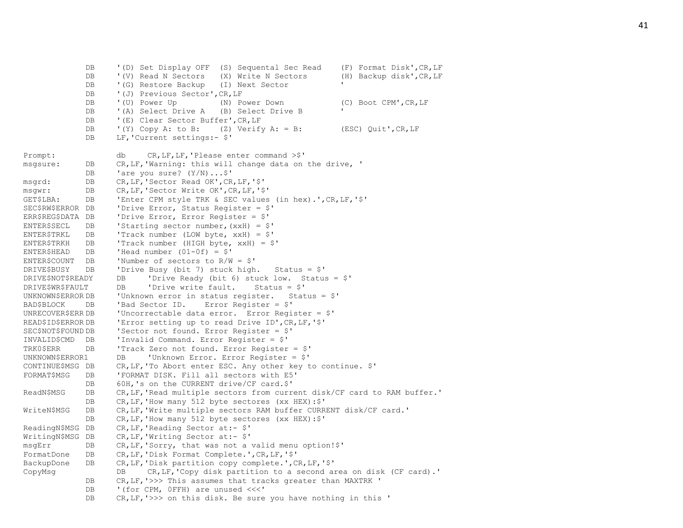DB '(D) Set Display OFF (S) Sequental Sec Read (F) Format Disk', CR, LF DB '(V) Read N Sectors (X) Write N Sectors (H) Backup disk', CR, LF DB '(G) Restore Backup (I) Next Sector DB '(J) Previous Sector', CR, LF DB '(U) Power Up (N) Power Down (C) Boot CPM', CR, LF DB '(A) Select Drive A (B) Select Drive B DB '(E) Clear Sector Buffer', CR, LF DB '(Y) Copy A: to B: (Z) Verify A: = B: (ESC) Quit', CR, LF DB LF, 'Current settings: - \$' Prompt: db CR, LF, LF, 'Please enter command >\$' msgsure: DB CR,LF,'Warning: this will change data on the drive, ' DB 'are you sure?  $(Y/N) \ldots$ \$' msgrd: DB CR,LF,'Sector Read OK',CR,LF,'\$' msgwr: DB CR,LF,'Sector Write OK',CR,LF,'\$' GET\$LBA: DB 'Enter CPM style TRK & SEC values (in hex).',CR,LF,'\$' SEC\$RW\$ERROR DB 'Drive Error, Status Register = \$' ERR\$REG\$DATA DB 'Drive Error, Error Register = \$' ENTER\$SECL DB 'Starting sector number,  $(x \times H) =$ \$' ENTER\$TRKL DB 'Track number (LOW byte, xxH) = \$' ENTER\$TRKH **DB** 'Track number (HIGH byte,  $xxH$ ) =  $$'$ ENTER\$HEAD DB 'Head number (01-0f) = \$' ENTER\$COUNT DB 'Number of sectors to R/W = \$' DRIVE\$BUSY DB 'Drive Busy (bit 7) stuck high. Status = \$' DRIVE\$NOT\$READY DB 'Drive Ready (bit 6) stuck low. Status = \$' DRIVE\$WR\$FAULT DB 'Drive write fault. Status = \$' UNKNOWN\$ERROR DB 'Unknown error in status register. Status = \$' BAD\$BLOCK DB 'Bad Sector ID. Error Register = \$' UNRECOVER\$ERR DB 'Uncorrectable data error. Error Register = \$' READ\$ID\$ERROR DB 'Error setting up to read Drive ID',CR,LF,'\$' SEC\$NOT\$FOUND DB 'Sector not found. Error Register = \$' INVALID\$CMD DB 'Invalid Command. Error Register = \$' TRK0\$ERR DB 'Track Zero not found. Error Register = \$' UNKNOWN\$ERROR1 DB 'Unknown Error. Error Register = \$' CONTINUE\$MSG DB CR,LF,'To Abort enter ESC. Any other key to continue. \$' FORMAT\$MSG DB 'FORMAT DISK. Fill all sectors with E5' DB 60H.'s on the CURRENT drive/CF card.\$' ReadN\$MSG DB CR,LF,'Read multiple sectors from current disk/CF card to RAM buffer.' DB CR, LF, 'How many 512 byte sectores (xx HEX):  $\frac{1}{5}$ ' WriteN\$MSG DB CR,LF,'Write multiple sectors RAM buffer CURRENT disk/CF card.' DB CR, LF, 'How many 512 byte sectores (xx HEX): \$' ReadingN\$MSG DB CR, LF, 'Reading Sector at:- \$' WritingN\$MSG DB CR, LF, 'Writing Sector at:- \$' msgErr DB CR,LF,'Sorry, that was not a valid menu option!\$' FormatDone DB CR,LF,'Disk Format Complete.',CR,LF,'\$' BackupDone DB CR,LF,'Disk partition copy complete.',CR,LF,'\$' CopyMsg DB CR,LF,'Copy disk partition to a second area on disk (CF card).' DB CR, LF, '>>> This assumes that tracks greater than MAXTRK ' DB '(for CPM, OFFH) are unused <<<' DB CR, LF, '>>> on this disk. Be sure you have nothing in this '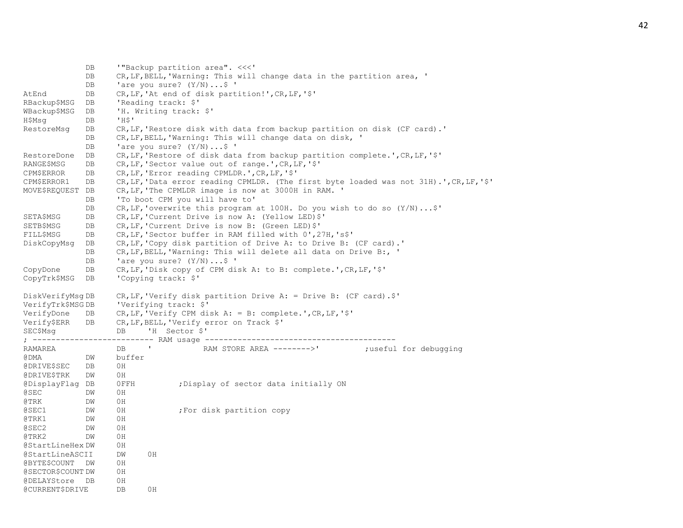DB '"Backup partition area". <<<' DB CR, LF, BELL, 'Warning: This will change data in the partition area, ' DB 'are you sure?  $(Y/N)$ ...\$ ' AtEnd DB CR,LF,'At end of disk partition!',CR,LF,'\$' RBackup\$MSG DB 'Reading track: \$' WBackup\$MSG DB 'H. Writing track: \$' H\$Msg DB 'H\$' RestoreMsg DB CR,LF,'Restore disk with data from backup partition on disk (CF card).' DB CR, LF, BELL, 'Warning: This will change data on disk, ' DB 'are you sure?  $(Y/N)$ ...\$ ' RestoreDone DB CR,LF,'Restore of disk data from backup partition complete.',CR,LF,'\$' RANGE\$MSG DB CR,LF,'Sector value out of range.',CR,LF,'\$' CPM\$ERROR DB CR,LF,'Error reading CPMLDR.',CR,LF,'\$' CPM\$ERROR1 DB CR,LF,'Data error reading CPMLDR. (The first byte loaded was not 31H).',CR,LF,'\$' MOVE\$REQUEST DB CR,LF,'The CPMLDR image is now at 3000H in RAM. ' DB 'To boot CPM you will have to' DB CR,LF,'overwrite this program at 100H. Do you wish to do so (Y/N)...\$' SETA\$MSG DB CR,LF,'Current Drive is now A: (Yellow LED)\$' SETB\$MSG DB CR,LF,'Current Drive is now B: (Green LED)\$' FILL\$MSG DB CR,LF,'Sector buffer in RAM filled with 0',27H,'s\$' DiskCopyMsg DB CR,LF,'Copy disk partition of Drive A: to Drive B: (CF card).' DB CR, LF, BELL, 'Warning: This will delete all data on Drive B:, ' DB 'are you sure?  $(Y/N)$ ...\$ ' CopyDone DB CR,LF,'Disk copy of CPM disk A: to B: complete.',CR,LF,'\$' CopyTrk\$MSG DB 'Copying track: \$' DiskVerifyMsg DB CR,LF,'Verify disk partition Drive A: = Drive B: (CF card).\$' VerifyTrk\$MSG DB 'Verifying track: \$' VerifyDone DB CR,LF,'Verify CPM disk A: = B: complete.',CR,LF,'\$' Verify\$ERR DB CR,LF,BELL,'Verify error on Track \$' SEC\$Msq DB 'H Sector \$' ; -------------------------- RAM usage ----------------------------------------- RAMAREA DB ' RAM STORE AREA -------->' ;useful for debugging @DMA DW buffer @DRIVE\$SEC DB 0H @DRIVE\$TRK DW 0H @DisplayFlag DB 0FFH ;Display of sector data initially ON @SEC DW 0H @TRK DW 0H @SEC1 DW 0H ;For disk partition copy @TRK1 DW 0H @SEC2 DW 0H @TRK2 DW 0H @StartLineHex DW 0H @StartLineASCII DW 0H @BYTE\$COUNT DW 0H @SECTOR\$COUNT DW 0H @DELAYStore DB 0H @CURRENT\$DRIVE DB 0H